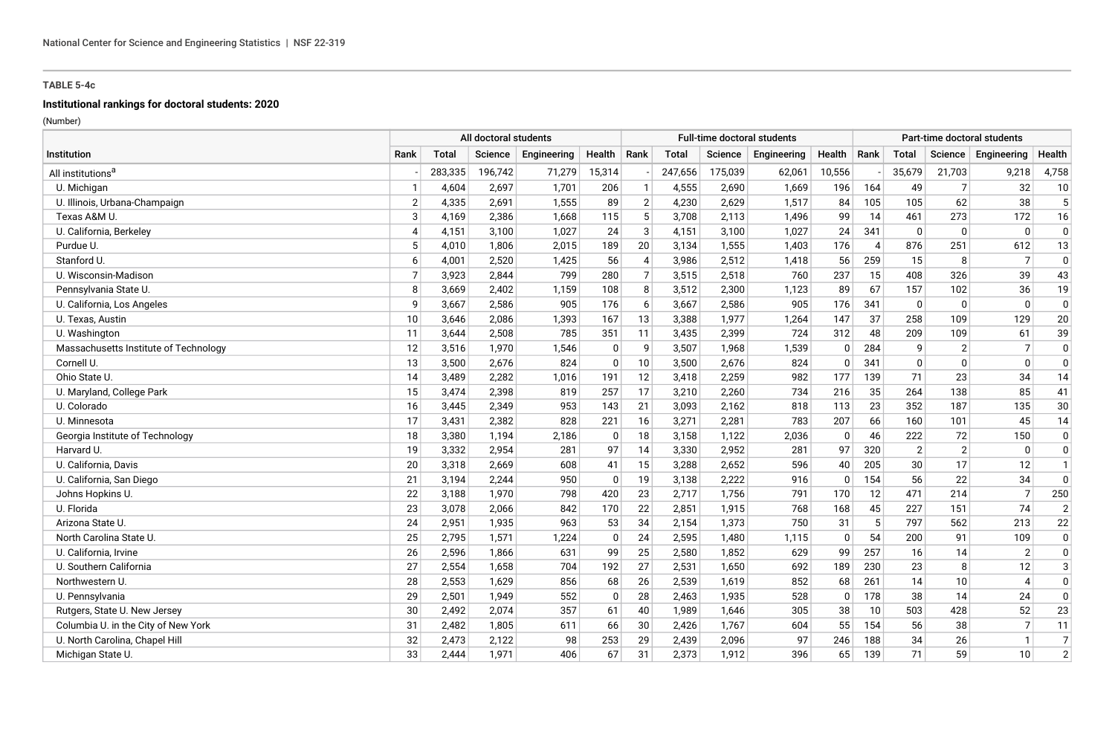#### **Institutional rankings for doctoral students: 2020**

|                                       | All doctoral students |              |         |             |              |                |              |         | <b>Full-time doctoral students</b> |             |      |                |                | Part-time doctoral students |                |
|---------------------------------------|-----------------------|--------------|---------|-------------|--------------|----------------|--------------|---------|------------------------------------|-------------|------|----------------|----------------|-----------------------------|----------------|
| Institution                           | Rank                  | <b>Total</b> | Science | Engineering | Health       | Rank           | <b>Total</b> | Science | Engineering                        | Health      | Rank | Total          | Science        | Engineering                 | Health         |
| All institutions <sup>a</sup>         |                       | 283,335      | 196,742 | 71,279      | 15,314       |                | 247,656      | 175,039 | 62,061                             | 10,556      |      | 35,679         | 21,703         | 9,218                       | 4,758          |
| U. Michigan                           | $\mathbf{1}$          | 4,604        | 2,697   | 1,701       | 206          | $\mathbf 1$    | 4,555        | 2,690   | 1,669                              | 196         | 164  | 49             |                | 32                          | 10             |
| U. Illinois, Urbana-Champaign         | $\overline{2}$        | 4,335        | 2,691   | 1,555       | 89           | $\overline{2}$ | 4,230        | 2,629   | 1,517                              | 84          | 105  | 105            | 62             | 38                          | 5              |
| Texas A&M U.                          | 3                     | 4,169        | 2,386   | 1.668       | 115          | 5              | 3,708        | 2,113   | 1.496                              | 99          | 14   | 461            | 273            | 172                         | 16             |
| U. California, Berkeley               | $\overline{4}$        | 4,151        | 3,100   | 1,027       | 24           | 3              | 4,151        | 3,100   | 1,027                              | 24          | 341  | $\mathbf 0$    | $\Omega$       | $\Omega$                    | $\mathbf 0$    |
| Purdue U.                             | 5                     | 4,010        | 1,806   | 2,015       | 189          | 20             | 3,134        | 1,555   | 1,403                              | 176         | 4    | 876            | 251            | 612                         | 13             |
| Stanford U.                           | 6                     | 4,001        | 2,520   | 1,425       | 56           | 4              | 3,986        | 2,512   | 1,418                              | 56          | 259  | 15             | 8              | $\overline{7}$              | $\Omega$       |
| U. Wisconsin-Madison                  | $\overline{7}$        | 3,923        | 2,844   | 799         | 280          | $\overline{7}$ | 3,515        | 2,518   | 760                                | 237         | 15   | 408            | 326            | 39                          | 43             |
| Pennsylvania State U.                 | 8                     | 3,669        | 2,402   | 1,159       | 108          | 8              | 3,512        | 2,300   | 1,123                              | 89          | 67   | 157            | 102            | 36                          | 19             |
| U. California, Los Angeles            | 9                     | 3,667        | 2,586   | 905         | 176          | 6              | 3,667        | 2,586   | 905                                | 176         | 341  | $\Omega$       | $\mathbf{0}$   | $\mathbf{0}$                | $\mathbf 0$    |
| U. Texas, Austin                      | 10                    | 3,646        | 2,086   | 1,393       | 167          | 13             | 3,388        | 1,977   | 1,264                              | 147         | 37   | 258            | 109            | 129                         | 20             |
| U. Washington                         | 11                    | 3,644        | 2,508   | 785         | 351          | 11             | 3,435        | 2,399   | 724                                | 312         | 48   | 209            | 109            | 61                          | 39             |
| Massachusetts Institute of Technology | 12                    | 3,516        | 1.970   | 1,546       | 0            | 9              | 3,507        | 1,968   | 1,539                              | 0           | 284  | 9              | $\overline{2}$ | 7                           | $\mathbf 0$    |
| Cornell U.                            | 13                    | 3,500        | 2,676   | 824         | $\mathbf{0}$ | 10             | 3,500        | 2,676   | 824                                | $\Omega$    | 341  | $\Omega$       | $\Omega$       | $\Omega$                    | $\Omega$       |
| Ohio State U.                         | 14                    | 3,489        | 2,282   | 1,016       | 191          | 12             | 3,418        | 2,259   | 982                                | 177         | 139  | 71             | 23             | 34                          | 14             |
| U. Maryland, College Park             | 15                    | 3,474        | 2,398   | 819         | 257          | 17             | 3,210        | 2,260   | 734                                | 216         | 35   | 264            | 138            | 85                          | 41             |
| U. Colorado                           | 16                    | 3,445        | 2,349   | 953         | 143          | 21             | 3,093        | 2,162   | 818                                | 113         | 23   | 352            | 187            | 135                         | 30             |
| U. Minnesota                          | 17                    | 3,431        | 2,382   | 828         | 221          | 16             | 3,271        | 2,281   | 783                                | 207         | 66   | 160            | 101            | 45                          | 14             |
| Georgia Institute of Technology       | 18                    | 3,380        | 1,194   | 2,186       | 0            | 18             | 3,158        | 1,122   | 2,036                              | 0           | 46   | 222            | 72             | 150                         | $\mathbf 0$    |
| Harvard U.                            | 19                    | 3,332        | 2,954   | 281         | 97           | 14             | 3,330        | 2,952   | 281                                | 97          | 320  | $\overline{2}$ | $\overline{2}$ | $\mathbf{0}$                | $\mathbf{0}$   |
| U. California, Davis                  | 20                    | 3,318        | 2,669   | 608         | 41           | 15             | 3,288        | 2,652   | 596                                | 40          | 205  | 30             | 17             | 12                          | $\mathbf{1}$   |
| U. California, San Diego              | 21                    | 3,194        | 2,244   | 950         | 0            | 19             | 3,138        | 2,222   | 916                                | 0           | 154  | 56             | 22             | 34                          | $\mathbf 0$    |
| Johns Hopkins U.                      | 22                    | 3,188        | 1,970   | 798         | 420          | 23             | 2,717        | 1,756   | 791                                | 170         | 12   | 471            | 214            | $\overline{7}$              | 250            |
| U. Florida                            | 23                    | 3,078        | 2,066   | 842         | 170          | 22             | 2,851        | 1,915   | 768                                | 168         | 45   | 227            | 151            | 74                          | $\overline{2}$ |
| Arizona State U.                      | 24                    | 2,951        | 1,935   | 963         | 53           | 34             | 2,154        | 1,373   | 750                                | 31          | 5    | 797            | 562            | 213                         | 22             |
| North Carolina State U.               | 25                    | 2,795        | 1,571   | 1,224       | $\Omega$     | 24             | 2,595        | 1,480   | 1,115                              | $\mathbf 0$ | 54   | 200            | 91             | 109                         | $\mathbf 0$    |
| U. California, Irvine                 | 26                    | 2,596        | 1,866   | 631         | 99           | 25             | 2,580        | 1,852   | 629                                | 99          | 257  | 16             | 14             | 2                           | 0              |
| U. Southern California                | 27                    | 2,554        | 1,658   | 704         | 192          | 27             | 2,531        | 1,650   | 692                                | 189         | 230  | 23             | 8              | 12                          | 3              |
| Northwestern U.                       | 28                    | 2,553        | 1,629   | 856         | 68           | 26             | 2,539        | 1,619   | 852                                | 68          | 261  | 14             | 10             | $\boldsymbol{\Delta}$       | $\mathbf 0$    |
| U. Pennsylvania                       | 29                    | 2,501        | 1,949   | 552         | $\mathbf{0}$ | 28             | 2,463        | 1,935   | 528                                | 0           | 178  | 38             | 14             | 24                          | $\mathbf 0$    |
| Rutgers, State U. New Jersey          | 30                    | 2,492        | 2,074   | 357         | 61           | 40             | 1,989        | 1,646   | 305                                | 38          | 10   | 503            | 428            | 52                          | 23             |
| Columbia U. in the City of New York   | 31                    | 2,482        | 1,805   | 611         | 66           | 30             | 2,426        | 1,767   | 604                                | 55          | 154  | 56             | 38             | $\overline{7}$              | 11             |
| U. North Carolina, Chapel Hill        | 32                    | 2,473        | 2,122   | 98          | 253          | 29             | 2,439        | 2,096   | 97                                 | 246         | 188  | 34             | 26             | $\mathbf{1}$                | $\overline{7}$ |
| Michigan State U.                     | 33                    | 2,444        | 1,971   | 406         | 67           | 31             | 2,373        | 1,912   | 396                                | 65          | 139  | 71             | 59             | 10 <sup>1</sup>             | $\overline{2}$ |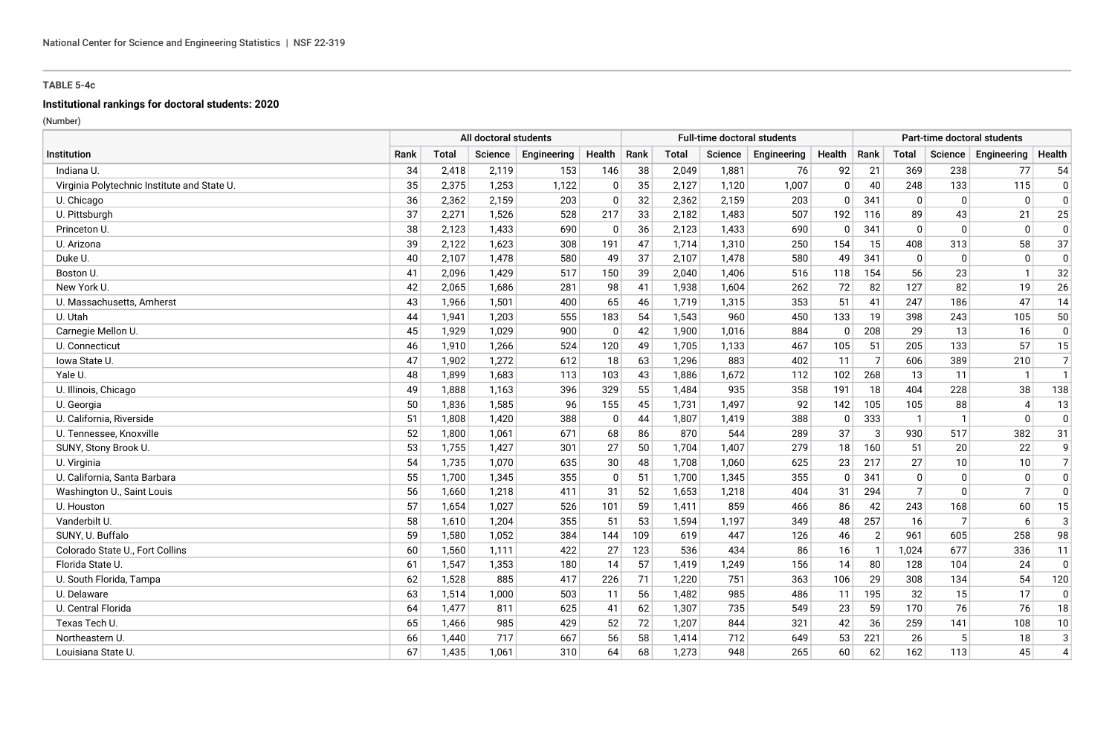# **Institutional rankings for doctoral students: 2020**

|                                             | All doctoral students |       |                |             |              |      |       |                | <b>Full-time doctoral students</b> |              |                |                |                | Part-time doctoral students |                |
|---------------------------------------------|-----------------------|-------|----------------|-------------|--------------|------|-------|----------------|------------------------------------|--------------|----------------|----------------|----------------|-----------------------------|----------------|
| Institution                                 | Rank                  | Total | <b>Science</b> | Engineering | Health       | Rank | Total | <b>Science</b> | Engineering                        | Health       | Rank           | <b>Total</b>   | Science        | Engineering                 | Health         |
| Indiana U.                                  | 34                    | 2,418 | 2,119          | 153         | 146          | 38   | 2,049 | 1,881          | 76                                 | 92           | 21             | 369            | 238            | 77                          | 54             |
| Virginia Polytechnic Institute and State U. | 35                    | 2,375 | 1,253          | 1,122       | $\mathbf 0$  | 35   | 2,127 | 1,120          | 1,007                              | $\mathbf{0}$ | 40             | 248            | 133            | 115                         | $\mathbf 0$    |
| U. Chicago                                  | 36                    | 2,362 | 2,159          | 203         | $\mathbf{0}$ | 32   | 2,362 | 2,159          | 203                                | 0            | 341            | 0              | $\Omega$       | $\mathbf{0}$                | $\mathbf 0$    |
| U. Pittsburgh                               | 37                    | 2,271 | 1,526          | 528         | 217          | 33   | 2,182 | 1,483          | 507                                | 192          | 116            | 89             | 43             | 21                          | 25             |
| Princeton U.                                | 38                    | 2,123 | 1,433          | 690         | $\mathbf 0$  | 36   | 2,123 | 1,433          | 690                                | 0            | 341            | $\Omega$       | $\Omega$       | $\Omega$                    | $\Omega$       |
| U. Arizona                                  | 39                    | 2,122 | 1,623          | 308         | 191          | 47   | 1,714 | 1,310          | 250                                | 154          | 15             | 408            | 313            | 58                          | 37             |
| Duke U.                                     | 40                    | 2,107 | 1,478          | 580         | 49           | 37   | 2,107 | 1,478          | 580                                | 49           | 341            | 0              | $\mathbf{0}$   | $\mathbf{0}$                | $\Omega$       |
| Boston U.                                   | 41                    | 2,096 | 1,429          | 517         | 150          | 39   | 2,040 | 1,406          | 516                                | 118          | 154            | 56             | 23             |                             | 32             |
| New York U.                                 | 42                    | 2,065 | 1,686          | 281         | 98           | 41   | 1,938 | 1,604          | 262                                | 72           | 82             | 127            | 82             | 19                          | 26             |
| U. Massachusetts, Amherst                   | 43                    | 1,966 | 1,501          | 400         | 65           | 46   | 1,719 | 1,315          | 353                                | 51           | 41             | 247            | 186            | 47                          | 14             |
| U. Utah                                     | 44                    | 1,941 | 1,203          | 555         | 183          | 54   | 1,543 | 960            | 450                                | 133          | 19             | 398            | 243            | 105                         | 50             |
| Carnegie Mellon U.                          | 45                    | 1,929 | 1,029          | 900         | $\mathbf 0$  | 42   | 1,900 | 1,016          | 884                                | 0            | 208            | 29             | 13             | 16                          | $\pmb{0}$      |
| U. Connecticut                              | 46                    | 1,910 | 1,266          | 524         | 120          | 49   | 1,705 | 1,133          | 467                                | 105          | 51             | 205            | 133            | 57                          | 15             |
| lowa State U.                               | 47                    | 1,902 | 1,272          | 612         | 18           | 63   | 1,296 | 883            | 402                                | 11           | $\overline{7}$ | 606            | 389            | 210                         | $\overline{7}$ |
| Yale U.                                     | 48                    | 1.899 | 1,683          | 113         | 103          | 43   | 1,886 | 1,672          | 112                                | 102          | 268            | 13             | 11             | $\mathbf{1}$                | $\mathbf{1}$   |
| U. Illinois, Chicago                        | 49                    | 1,888 | 1,163          | 396         | 329          | 55   | 1,484 | 935            | 358                                | 191          | 18             | 404            | 228            | 38                          | 138            |
| U. Georgia                                  | 50                    | 1,836 | 1,585          | 96          | 155          | 45   | 1,731 | 1,497          | 92                                 | 142          | 105            | 105            | 88             |                             | 13             |
| U. California, Riverside                    | 51                    | 1,808 | 1,420          | 388         | $\mathbf 0$  | 44   | 1,807 | 1,419          | 388                                | 0            | 333            | -1             |                | $\Omega$                    | $\Omega$       |
| U. Tennessee, Knoxville                     | 52                    | 1,800 | 1,061          | 671         | 68           | 86   | 870   | 544            | 289                                | 37           | 3              | 930            | 517            | 382                         | 31             |
| SUNY, Stony Brook U.                        | 53                    | 1,755 | 1,427          | 301         | 27           | 50   | 1,704 | 1,407          | 279                                | 18           | 160            | 51             | 20             | 22                          | 9              |
| U. Virginia                                 | 54                    | 1,735 | 1,070          | 635         | 30           | 48   | 1,708 | 1,060          | 625                                | 23           | 217            | 27             | 10             | 10                          | $\overline{7}$ |
| U. California, Santa Barbara                | 55                    | 1,700 | 1,345          | 355         | 0            | 51   | 1,700 | 1,345          | 355                                | 0            | 341            | $\Omega$       | $\Omega$       | $\mathbf{0}$                | $\mathbf 0$    |
| Washington U., Saint Louis                  | 56                    | 1,660 | 1,218          | 411         | 31           | 52   | 1,653 | 1,218          | 404                                | 31           | 294            | $\overline{7}$ | $\Omega$       | 7                           | $\mathbf 0$    |
| U. Houston                                  | 57                    | 1,654 | 1,027          | 526         | 101          | 59   | 1,411 | 859            | 466                                | 86           | 42             | 243            | 168            | 60                          | 15             |
| Vanderbilt U.                               | 58                    | 1,610 | 1,204          | 355         | 51           | 53   | 1,594 | 1,197          | 349                                | 48           | 257            | 16             | $\overline{7}$ | 6                           | $\mathbf{3}$   |
| SUNY. U. Buffalo                            | 59                    | 1,580 | 1,052          | 384         | 144          | 109  | 619   | 447            | 126                                | 46           | $\overline{2}$ | 961            | 605            | 258                         | 98             |
| Colorado State U., Fort Collins             | 60                    | 1,560 | 1,111          | 422         | 27           | 123  | 536   | 434            | 86                                 | 16           | $\overline{1}$ | 1.024          | 677            | 336                         | 11             |
| Florida State U.                            | 61                    | 1,547 | 1,353          | 180         | 14           | 57   | 1,419 | 1,249          | 156                                | 14           | 80             | 128            | 104            | 24                          | $\mathbf 0$    |
| U. South Florida, Tampa                     | 62                    | 1,528 | 885            | 417         | 226          | 71   | 1,220 | 751            | 363                                | 106          | 29             | 308            | 134            | 54                          | 120            |
| U. Delaware                                 | 63                    | 1,514 | 1,000          | 503         | 11           | 56   | 1,482 | 985            | 486                                | 11           | 195            | 32             | 15             | 17                          | $\mathbf 0$    |
| U. Central Florida                          | 64                    | 1,477 | 811            | 625         | 41           | 62   | 1,307 | 735            | 549                                | 23           | 59             | 170            | 76             | 76                          | 18             |
| Texas Tech U                                | 65                    | 1,466 | 985            | 429         | 52           | 72   | 1,207 | 844            | 321                                | 42           | 36             | 259            | 141            | 108                         | 10             |
| Northeastern U.                             | 66                    | 1,440 | 717            | 667         | 56           | 58   | 1,414 | 712            | 649                                | 53           | 221            | 26             |                | 18                          | $\mathbf{3}$   |
| Louisiana State U.                          | 67                    | 1,435 | 1,061          | 310         | 64           | 68   | 1,273 | 948            | 265                                | 60           | 62             | 162            | 113            | 45                          | $\overline{4}$ |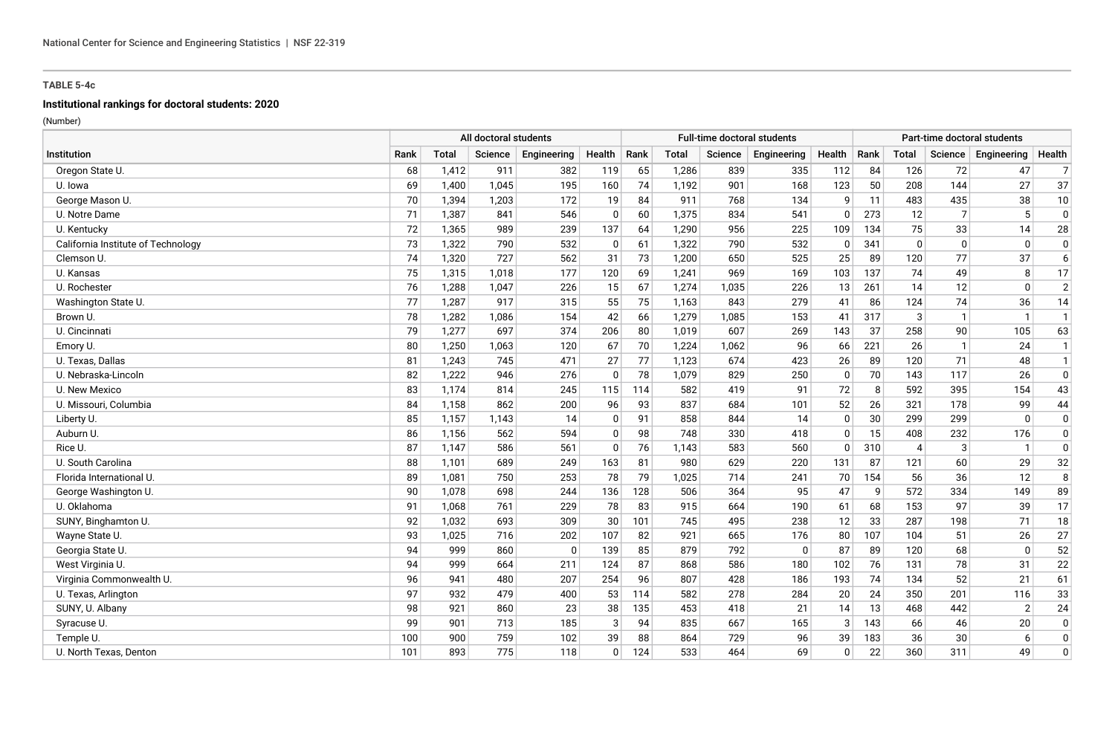# **Institutional rankings for doctoral students: 2020**

|                                    | All doctoral students |       |         |             |              |      |       |         | <b>Full-time doctoral students</b> |              |      |                |                | Part-time doctoral students |                |
|------------------------------------|-----------------------|-------|---------|-------------|--------------|------|-------|---------|------------------------------------|--------------|------|----------------|----------------|-----------------------------|----------------|
| Institution                        | Rank                  | Total | Science | Engineering | Health       | Rank | Total | Science | Engineering                        | Health       | Rank | <b>Total</b>   | Science        | Engineering                 | Health         |
| Oregon State U.                    | 68                    | 1,412 | 911     | 382         | 119          | 65   | 1,286 | 839     | 335                                | 112          | 84   | 126            | 72             | 47                          | $\overline{7}$ |
| U. Iowa                            | 69                    | 1,400 | 1,045   | 195         | 160          | 74   | 1,192 | 901     | 168                                | 123          | 50   | 208            | 144            | 27                          | 37             |
| George Mason U.                    | 70                    | 1,394 | 1,203   | 172         | 19           | 84   | 911   | 768     | 134                                | 9            | 11   | 483            | 435            | 38                          | 10             |
| U. Notre Dame                      | 71                    | 1,387 | 841     | 546         | $\mathbf 0$  | 60   | 1,375 | 834     | 541                                | 0            | 273  | 12             | $\overline{7}$ | 5                           | $\Omega$       |
| U. Kentucky                        | 72                    | 1,365 | 989     | 239         | 137          | 64   | 1,290 | 956     | 225                                | 109          | 134  | 75             | 33             | 14                          | 28             |
| California Institute of Technology | 73                    | 1,322 | 790     | 532         | $\mathbf 0$  | 61   | 1,322 | 790     | 532                                | 0            | 341  | $\mathbf{0}$   | $\mathbf{0}$   | $\mathbf{0}$                | $\Omega$       |
| Clemson U.                         | 74                    | 1,320 | 727     | 562         | 31           | 73   | 1,200 | 650     | 525                                | 25           | 89   | 120            | 77             | 37                          | 6              |
| U. Kansas                          | 75                    | 1,315 | 1,018   | 177         | 120          | 69   | 1,241 | 969     | 169                                | 103          | 137  | 74             | 49             | 8                           | 17             |
| U. Rochester                       | 76                    | 1,288 | 1,047   | 226         | 15           | 67   | 1,274 | 1,035   | 226                                | 13           | 261  | 14             | 12             | $\Omega$                    | $\overline{2}$ |
| Washington State U.                | 77                    | 1,287 | 917     | 315         | 55           | 75   | 1,163 | 843     | 279                                | 41           | 86   | 124            | 74             | 36                          | 14             |
| Brown U.                           | 78                    | 1,282 | 1,086   | 154         | 42           | 66   | 1,279 | 1,085   | 153                                | 41           | 317  | 3              | -1             | -1                          | $\mathbf{1}$   |
| U. Cincinnati                      | 79                    | 1,277 | 697     | 374         | 206          | 80   | 1,019 | 607     | 269                                | 143          | 37   | 258            | 90             | 105                         | 63             |
| Emory U.                           | 80                    | 1,250 | 1,063   | 120         | 67           | 70   | 1,224 | 1,062   | 96                                 | 66           | 221  | 26             | -1             | 24                          | $\mathbf{1}$   |
| U. Texas, Dallas                   | 81                    | 1,243 | 745     | 471         | 27           | 77   | 1,123 | 674     | 423                                | 26           | 89   | 120            | 71             | 48                          | $\mathbf{1}$   |
| U. Nebraska-Lincoln                | 82                    | 1,222 | 946     | 276         | $\mathbf{0}$ | 78   | 1,079 | 829     | 250                                | 0            | 70   | 143            | 117            | 26                          | 0              |
| U. New Mexico                      | 83                    | 1,174 | 814     | 245         | 115          | 114  | 582   | 419     | 91                                 | 72           | 8    | 592            | 395            | 154                         | 43             |
| U. Missouri, Columbia              | 84                    | 1,158 | 862     | 200         | 96           | 93   | 837   | 684     | 101                                | 52           | 26   | 321            | 178            | 99                          | 44             |
| Liberty U.                         | 85                    | 1,157 | 1,143   | 14          | $\Omega$     | 91   | 858   | 844     | 14                                 | 0            | 30   | 299            | 299            | $\Omega$                    | $\Omega$       |
| Auburn U.                          | 86                    | 1,156 | 562     | 594         | $\mathbf{0}$ | 98   | 748   | 330     | 418                                | 0            | 15   | 408            | 232            | 176                         | $\Omega$       |
| Rice U.                            | 87                    | 1,147 | 586     | 561         | $\mathbf{0}$ | 76   | 1,143 | 583     | 560                                | $\mathbf{0}$ | 310  | $\overline{4}$ | 3              | $\mathbf 1$                 | $\Omega$       |
| U. South Carolina                  | 88                    | 1,101 | 689     | 249         | 163          | 81   | 980   | 629     | 220                                | 131          | 87   | 121            | 60             | 29                          | 32             |
| Florida International U.           | 89                    | 1,081 | 750     | 253         | 78           | 79   | 1,025 | 714     | 241                                | 70           | 154  | 56             | 36             | 12                          | 8              |
| George Washington U.               | 90                    | 1,078 | 698     | 244         | 136          | 128  | 506   | 364     | 95                                 | 47           | 9    | 572            | 334            | 149                         | 89             |
| U. Oklahoma                        | 91                    | 1,068 | 761     | 229         | 78           | 83   | 915   | 664     | 190                                | 61           | 68   | 153            | 97             | 39                          | 17             |
| SUNY, Binghamton U.                | 92                    | 1,032 | 693     | 309         | 30           | 101  | 745   | 495     | 238                                | 12           | 33   | 287            | 198            | 71                          | 18             |
| Wayne State U.                     | 93                    | 1,025 | 716     | 202         | 107          | 82   | 921   | 665     | 176                                | 80           | 107  | 104            | 51             | 26                          | 27             |
| Georgia State U.                   | 94                    | 999   | 860     | $\mathbf 0$ | 139          | 85   | 879   | 792     | $\Omega$                           | 87           | 89   | 120            | 68             | $\Omega$                    | 52             |
| West Virginia U.                   | 94                    | 999   | 664     | 211         | 124          | 87   | 868   | 586     | 180                                | 102          | 76   | 131            | 78             | 31                          | 22             |
| Virginia Commonwealth U.           | 96                    | 941   | 480     | 207         | 254          | 96   | 807   | 428     | 186                                | 193          | 74   | 134            | 52             | 21                          | 61             |
| U. Texas, Arlington                | 97                    | 932   | 479     | 400         | 53           | 114  | 582   | 278     | 284                                | 20           | 24   | 350            | 201            | 116                         | 33             |
| SUNY, U. Albany                    | 98                    | 921   | 860     | 23          | 38           | 135  | 453   | 418     | 21                                 | 14           | 13   | 468            | 442            | $\overline{2}$              | 24             |
| Syracuse U.                        | 99                    | 901   | 713     | 185         | 3            | 94   | 835   | 667     | 165                                | 3            | 143  | 66             | 46             | 20                          | $\mathbf 0$    |
| Temple U.                          | 100                   | 900   | 759     | 102         | 39           | 88   | 864   | 729     | 96                                 | 39           | 183  | 36             | 30             | 6                           | $\mathbf 0$    |
| U. North Texas, Denton             | 101                   | 893   | 775     | 118         | $\mathbf{0}$ | 124  | 533   | 464     | 69                                 | 0            | 22   | 360            | 311            | 49                          | $\mathbf 0$    |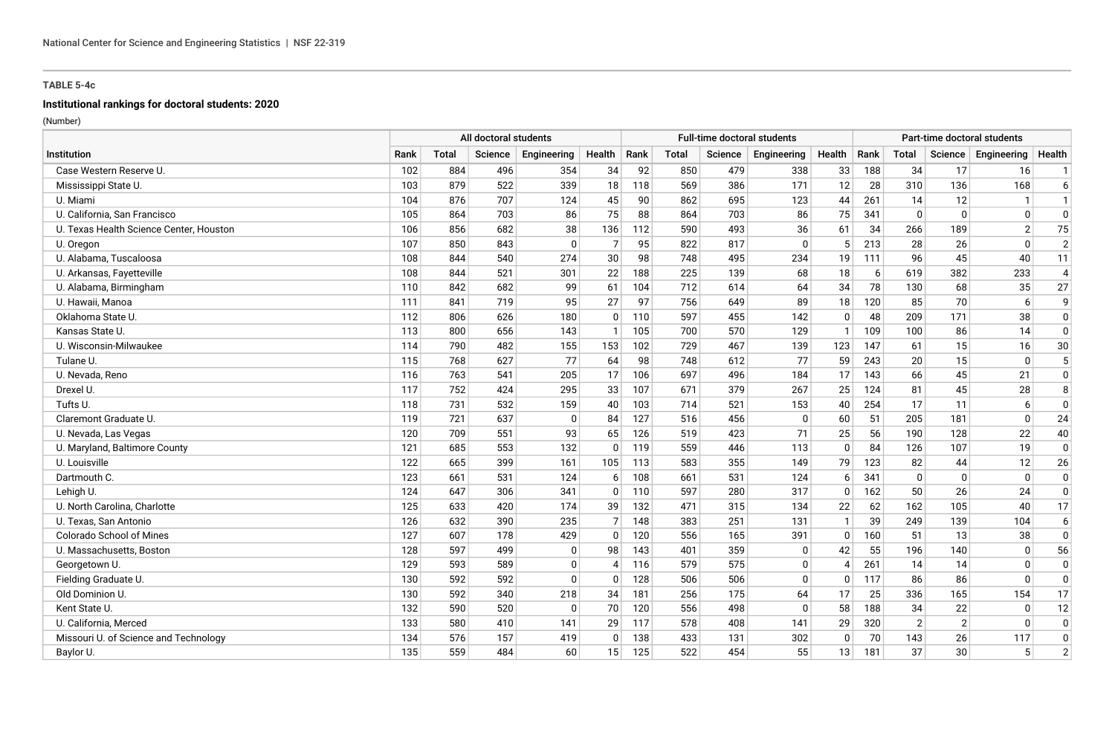# **Institutional rankings for doctoral students: 2020**

|                                         | All doctoral students |       |         |              |                |      |       |         | Full-time doctoral students |              |      |                |                | Part-time doctoral students |                |
|-----------------------------------------|-----------------------|-------|---------|--------------|----------------|------|-------|---------|-----------------------------|--------------|------|----------------|----------------|-----------------------------|----------------|
| Institution                             | Rank                  | Total | Science | Engineering  | Health         | Rank | Total | Science | Engineering                 | Health       | Rank | <b>Total</b>   | Science        | Engineering                 | Health         |
| Case Western Reserve U.                 | 102                   | 884   | 496     | 354          | 34             | 92   | 850   | 479     | 338                         | 33           | 188  | 34             | 17             | 16                          | $\mathbf{1}$   |
| Mississippi State U.                    | 103                   | 879   | 522     | 339          | 18             | 118  | 569   | 386     | 171                         | 12           | 28   | 310            | 136            | 168                         | 6              |
| U. Miami                                | 104                   | 876   | 707     | 124          | 45             | 90   | 862   | 695     | 123                         | 44           | 261  | 14             | 12             | $\mathbf{1}$                | $\mathbf{1}$   |
| U. California, San Francisco            | 105                   | 864   | 703     | 86           | 75             | 88   | 864   | 703     | 86                          | 75           | 341  | $\Omega$       | $\mathbf{0}$   | $\Omega$                    | $\mathbf 0$    |
| U. Texas Health Science Center, Houston | 106                   | 856   | 682     | 38           | 136            | 112  | 590   | 493     | 36                          | 61           | 34   | 266            | 189            | $\overline{2}$              | 75             |
| U. Oregon                               | 107                   | 850   | 843     | $\mathbf{0}$ | $\overline{7}$ | 95   | 822   | 817     | $\mathbf 0$                 | 5            | 213  | 28             | 26             | $\Omega$                    | $\overline{2}$ |
| U. Alabama, Tuscaloosa                  | 108                   | 844   | 540     | 274          | 30             | 98   | 748   | 495     | 234                         | 19           | 111  | 96             | 45             | 40                          | 11             |
| U. Arkansas, Fayetteville               | 108                   | 844   | 521     | 301          | 22             | 188  | 225   | 139     | 68                          | 18           | 6    | 619            | 382            | 233                         | $\overline{4}$ |
| U. Alabama, Birmingham                  | 110                   | 842   | 682     | 99           | 61             | 104  | 712   | 614     | 64                          | 34           | 78   | 130            | 68             | 35                          | 27             |
| U. Hawaii, Manoa                        | 111                   | 841   | 719     | 95           | 27             | 97   | 756   | 649     | 89                          | 18           | 120  | 85             | 70             | 6                           | 9              |
| Oklahoma State U.                       | 112                   | 806   | 626     | 180          | $\Omega$       | 110  | 597   | 455     | 142                         | 0            | 48   | 209            | 171            | 38                          | $\mathbf 0$    |
| Kansas State U                          | 113                   | 800   | 656     | 143          |                | 105  | 700   | 570     | 129                         |              | 109  | 100            | 86             | 14                          | $\mathbf 0$    |
| U. Wisconsin-Milwaukee                  | 114                   | 790   | 482     | 155          | 153            | 102  | 729   | 467     | 139                         | 123          | 147  | 61             | 15             | 16                          | $30\,$         |
| Tulane U.                               | 115                   | 768   | 627     | 77           | 64             | 98   | 748   | 612     | 77                          | 59           | 243  | 20             | 15             | $\mathbf{0}$                | 5              |
| U. Nevada, Reno                         | 116                   | 763   | 541     | 205          | 17             | 106  | 697   | 496     | 184                         | 17           | 143  | 66             | 45             | 21                          | $\mathbf 0$    |
| Drexel U.                               | 117                   | 752   | 424     | 295          | 33             | 107  | 671   | 379     | 267                         | 25           | 124  | 81             | 45             | 28                          | 8              |
| Tufts U.                                | 118                   | 731   | 532     | 159          | 40             | 103  | 714   | 521     | 153                         | 40           | 254  | 17             | 11             | 6                           | $\Omega$       |
| Claremont Graduate U.                   | 119                   | 721   | 637     | $\mathbf{0}$ | 84             | 127  | 516   | 456     | $\mathbf{0}$                | 60           | 51   | 205            | 181            | $\Omega$                    | 24             |
| U. Nevada, Las Vegas                    | 120                   | 709   | 551     | 93           | 65             | 126  | 519   | 423     | 71                          | 25           | 56   | 190            | 128            | 22                          | 40             |
| U. Maryland, Baltimore County           | 121                   | 685   | 553     | 132          | $\mathbf{0}$   | 119  | 559   | 446     | 113                         | 0            | 84   | 126            | 107            | 19                          | $\overline{0}$ |
| U. Louisville                           | 122                   | 665   | 399     | 161          | 105            | 113  | 583   | 355     | 149                         | 79           | 123  | 82             | 44             | 12                          | 26             |
| Dartmouth C.                            | 123                   | 661   | 531     | 124          | 6              | 108  | 661   | 531     | 124                         | 6            | 341  | 0              | $\mathbf{0}$   | $\mathbf{0}$                | $\mathbf 0$    |
| Lehigh U.                               | 124                   | 647   | 306     | 341          | $\Omega$       | 110  | 597   | 280     | 317                         | 0            | 162  | 50             | 26             | 24                          | $\mathbf 0$    |
| U. North Carolina, Charlotte            | 125                   | 633   | 420     | 174          | 39             | 132  | 471   | 315     | 134                         | 22           | 62   | 162            | 105            | 40                          | 17             |
| U. Texas, San Antonio                   | 126                   | 632   | 390     | 235          | $\overline{7}$ | 148  | 383   | 251     | 131                         | $\mathbf{1}$ | 39   | 249            | 139            | 104                         | 6              |
| <b>Colorado School of Mines</b>         | 127                   | 607   | 178     | 429          | $\Omega$       | 120  | 556   | 165     | 391                         | 0            | 160  | 51             | 13             | 38                          | $\mathbf 0$    |
| U. Massachusetts, Boston                | 128                   | 597   | 499     | $\mathbf 0$  | 98             | 143  | 401   | 359     | $\Omega$                    | 42           | 55   | 196            | 140            | $\Omega$                    | 56             |
| Georgetown U.                           | 129                   | 593   | 589     | 0            | 4              | 116  | 579   | 575     | 0                           | 4            | 261  | 14             | 14             | $\Omega$                    | 0              |
| Fielding Graduate U.                    | 130                   | 592   | 592     | $\mathbf 0$  | $\Omega$       | 128  | 506   | 506     | $\Omega$                    | $\mathbf{0}$ | 117  | 86             | 86             | $\Omega$                    | $\mathbf 0$    |
| Old Dominion U.                         | 130                   | 592   | 340     | 218          | 34             | 181  | 256   | 175     | 64                          | 17           | 25   | 336            | 165            | 154                         | 17             |
| Kent State U.                           | 132                   | 590   | 520     | $\mathbf 0$  | 70             | 120  | 556   | 498     | $\Omega$                    | 58           | 188  | 34             | 22             | $\Omega$                    | 12             |
| U. California, Merced                   | 133                   | 580   | 410     | 141          | 29             | 117  | 578   | 408     | 141                         | 29           | 320  | $\overline{2}$ | $\overline{2}$ | $\Omega$                    | $\Omega$       |
| Missouri U. of Science and Technology   | 134                   | 576   | 157     | 419          | $\Omega$       | 138  | 433   | 131     | 302                         | $\mathbf{0}$ | 70   | 143            | 26             | 117                         | $\Omega$       |
| Baylor U.                               | 135                   | 559   | 484     | 60           | 15             | 125  | 522   | 454     | 55                          | 13           | 181  | 37             | 30             | 5 <sup>1</sup>              | $\overline{2}$ |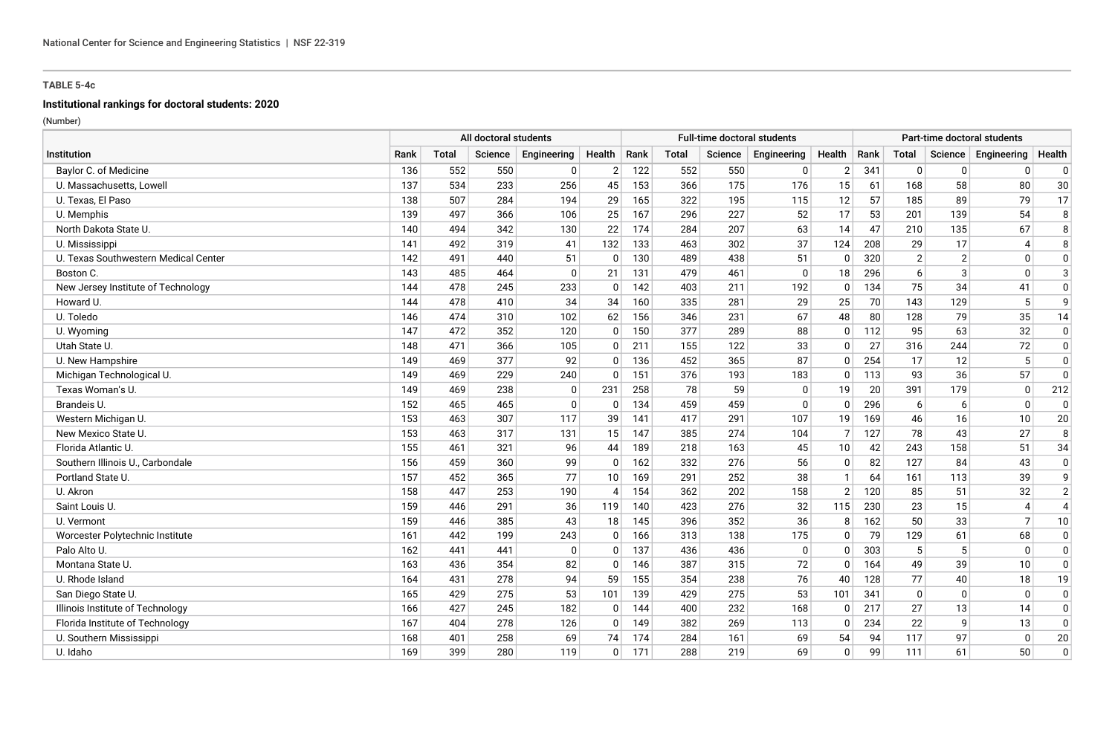# **Institutional rankings for doctoral students: 2020**

|                                      | All doctoral students |              |         |             |                          |      |              |         | <b>Full-time doctoral students</b> |                |      |                |                | Part-time doctoral students |                |
|--------------------------------------|-----------------------|--------------|---------|-------------|--------------------------|------|--------------|---------|------------------------------------|----------------|------|----------------|----------------|-----------------------------|----------------|
| Institution                          | Rank                  | <b>Total</b> | Science | Engineering | Health                   | Rank | <b>Total</b> | Science | Engineering                        | Health         | Rank | <b>Total</b>   | Science        | Engineering                 | Health         |
| Baylor C. of Medicine                | 136                   | 552          | 550     | 0           | $\overline{2}$           | 122  | 552          | 550     | 0                                  | $\overline{2}$ | 341  | $\Omega$       | $\Omega$       | $\Omega$                    | 0              |
| U. Massachusetts, Lowell             | 137                   | 534          | 233     | 256         | 45                       | 153  | 366          | 175     | 176                                | 15             | 61   | 168            | 58             | 80                          | 30             |
| U. Texas, El Paso                    | 138                   | 507          | 284     | 194         | 29                       | 165  | 322          | 195     | 115                                | 12             | 57   | 185            | 89             | 79                          | 17             |
| U. Memphis                           | 139                   | 497          | 366     | 106         | 25                       | 167  | 296          | 227     | 52                                 | 17             | 53   | 201            | 139            | 54                          | 8              |
| North Dakota State U.                | 140                   | 494          | 342     | 130         | 22                       | 174  | 284          | 207     | 63                                 | 14             | 47   | 210            | 135            | 67                          | 8              |
| U. Mississippi                       | 141                   | 492          | 319     | 41          | 132                      | 133  | 463          | 302     | 37                                 | 124            | 208  | 29             | 17             |                             | 8              |
| U. Texas Southwestern Medical Center | 142                   | 491          | 440     | 51          | $\Omega$                 | 130  | 489          | 438     | 51                                 | $\Omega$       | 320  | $\overline{2}$ | $\overline{2}$ | $\Omega$                    | $\mathbf 0$    |
| Boston C.                            | 143                   | 485          | 464     | 0           | 21                       | 131  | 479          | 461     | 0                                  | 18             | 296  | 6              | 3              | $\Omega$                    | 3              |
| New Jersey Institute of Technology   | 144                   | 478          | 245     | 233         | $\Omega$                 | 142  | 403          | 211     | 192                                | $\Omega$       | 134  | 75             | 34             | 41                          | $\mathbf 0$    |
| Howard U.                            | 144                   | 478          | 410     | 34          | 34                       | 160  | 335          | 281     | 29                                 | 25             | 70   | 143            | 129            | 5                           | 9              |
| U. Toledo                            | 146                   | 474          | 310     | 102         | 62                       | 156  | 346          | 231     | 67                                 | 48             | 80   | 128            | 79             | 35                          | 14             |
| U. Wyoming                           | 147                   | 472          | 352     | 120         | $\Omega$                 | 150  | 377          | 289     | 88                                 | 0              | 112  | 95             | 63             | 32                          | $\mathbf 0$    |
| Utah State U.                        | 148                   | 471          | 366     | 105         | $\Omega$                 | 211  | 155          | 122     | 33                                 | $\mathbf{0}$   | 27   | 316            | 244            | 72                          | $\mathbf 0$    |
| U. New Hampshire                     | 149                   | 469          | 377     | 92          | $\Omega$                 | 136  | 452          | 365     | 87                                 | $\Omega$       | 254  | 17             | 12             | 5                           | 0              |
| Michigan Technological U.            | 149                   | 469          | 229     | 240         | $\Omega$                 | 151  | 376          | 193     | 183                                | $\Omega$       | 113  | 93             | 36             | 57                          | $\mathbf 0$    |
| Texas Woman's U.                     | 149                   | 469          | 238     | 0           | 231                      | 258  | 78           | 59      | 0                                  | 19             | 20   | 391            | 179            | $\mathbf 0$                 | 212            |
| Brandeis U.                          | 152                   | 465          | 465     | $\mathbf 0$ | $\Omega$                 | 134  | 459          | 459     | $\Omega$                           | $\Omega$       | 296  | 6              | 6              | $\Omega$                    | $\overline{0}$ |
| Western Michigan U.                  | 153                   | 463          | 307     | 117         | 39                       | 141  | 417          | 291     | 107                                | 19             | 169  | 46             | 16             | 10                          | 20             |
| New Mexico State U.                  | 153                   | 463          | 317     | 131         | 15                       | 147  | 385          | 274     | 104                                | $\overline{7}$ | 127  | 78             | 43             | 27                          | 8              |
| Florida Atlantic U.                  | 155                   | 461          | 321     | 96          | 44                       | 189  | 218          | 163     | 45                                 | 10             | 42   | 243            | 158            | 51                          | 34             |
| Southern Illinois U., Carbondale     | 156                   | 459          | 360     | 99          | $\Omega$                 | 162  | 332          | 276     | 56                                 | $\overline{0}$ | 82   | 127            | 84             | 43                          | $\mathbf 0$    |
| Portland State U.                    | 157                   | 452          | 365     | 77          | 10                       | 169  | 291          | 252     | 38                                 | $\mathbf{1}$   | 64   | 161            | 113            | 39                          | 9              |
| U. Akron                             | 158                   | 447          | 253     | 190         | $\boldsymbol{\varDelta}$ | 154  | 362          | 202     | 158                                | 2              | 120  | 85             | 51             | 32                          | $\overline{2}$ |
| Saint Louis U.                       | 159                   | 446          | 291     | 36          | 119                      | 140  | 423          | 276     | 32                                 | 115            | 230  | 23             | 15             | 4                           | $\overline{4}$ |
| U. Vermont                           | 159                   | 446          | 385     | 43          | 18                       | 145  | 396          | 352     | 36                                 | 8              | 162  | 50             | 33             | $\overline{7}$              | 10             |
| Worcester Polytechnic Institute      | 161                   | 442          | 199     | 243         | $\Omega$                 | 166  | 313          | 138     | 175                                | $\mathbf{0}$   | 79   | 129            | 61             | 68                          | $\mathbf 0$    |
| Palo Alto U.                         | 162                   | 441          | 441     | $\mathbf 0$ | $\Omega$                 | 137  | 436          | 436     | $\mathbf{0}$                       | $\mathbf{0}$   | 303  | 5              | 5              | $\Omega$                    | $\mathbf 0$    |
| Montana State U.                     | 163                   | 436          | 354     | 82          | $\Omega$                 | 146  | 387          | 315     | 72                                 | 0              | 164  | 49             | 39             | 10 <sup>1</sup>             | 0              |
| U. Rhode Island                      | 164                   | 431          | 278     | 94          | 59                       | 155  | 354          | 238     | 76                                 | 40             | 128  | 77             | 40             | 18                          | 19             |
| San Diego State U.                   | 165                   | 429          | 275     | 53          | 101                      | 139  | 429          | 275     | 53                                 | 101            | 341  | $\Omega$       | $\Omega$       | $\mathbf{0}$                | $\mathbf 0$    |
| Illinois Institute of Technology     | 166                   | 427          | 245     | 182         | $\Omega$                 | 144  | 400          | 232     | 168                                | 0              | 217  | 27             | 13             | 14                          | $\mathbf 0$    |
| Florida Institute of Technology      | 167                   | 404          | 278     | 126         | $\Omega$                 | 149  | 382          | 269     | 113                                | $\Omega$       | 234  | 22             | 9              | 13                          | 0              |
| U. Southern Mississippi              | 168                   | 401          | 258     | 69          | 74                       | 174  | 284          | 161     | 69                                 | 54             | 94   | 117            | 97             | $\Omega$                    | 20             |
| U. Idaho                             | 169                   | 399          | 280     | 119         | $\Omega$                 | 171  | 288          | 219     | 69                                 | $\overline{0}$ | 99   | 111            | 61             | 50                          | $\Omega$       |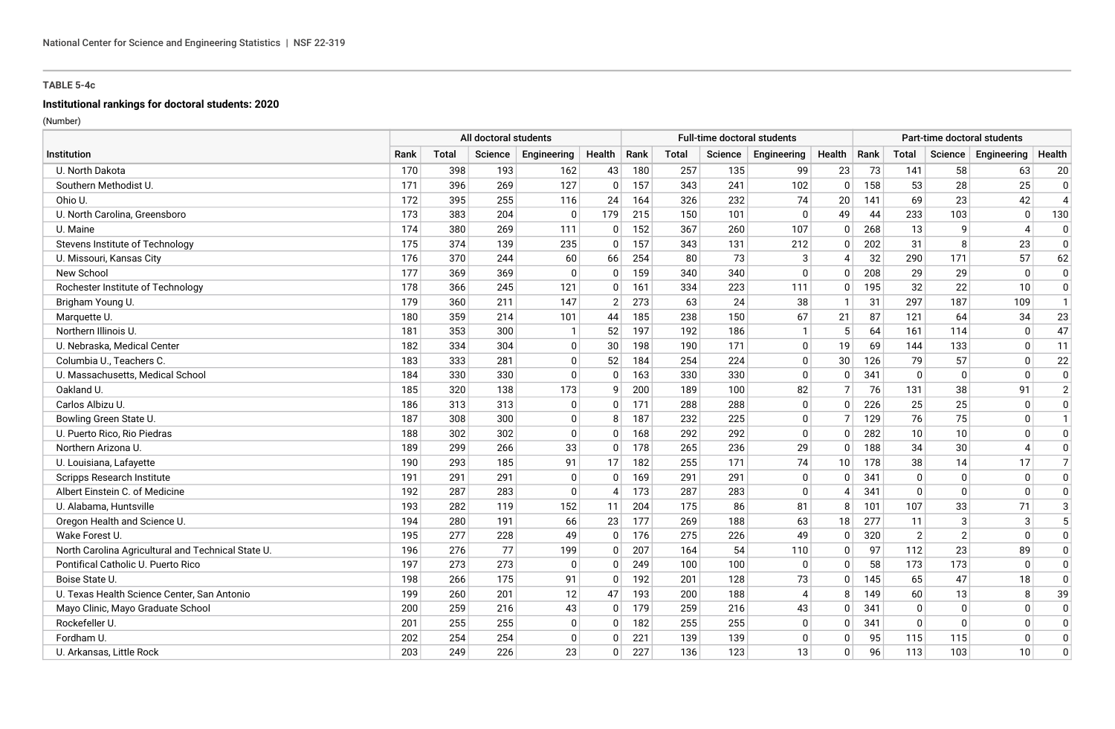# **Institutional rankings for doctoral students: 2020**

|                                                    |      | All doctoral students |         |              |                | <b>Full-time doctoral students</b> |       |         |                |                 | Part-time doctoral students |                |                |              |                |
|----------------------------------------------------|------|-----------------------|---------|--------------|----------------|------------------------------------|-------|---------|----------------|-----------------|-----------------------------|----------------|----------------|--------------|----------------|
| Institution                                        | Rank | Total                 | Science | Engineering  | Health         | Rank                               | Total | Science | Engineering    | Health          | Rank                        | <b>Total</b>   | Science        | Engineering  | Health         |
| U. North Dakota                                    | 170  | 398                   | 193     | 162          | 43             | 180                                | 257   | 135     | 99             | 23              | 73                          | 141            | 58             | 63           | 20             |
| Southern Methodist U.                              | 171  | 396                   | 269     | 127          | $\Omega$       | 157                                | 343   | 241     | 102            | $\mathbf{0}$    | 158                         | 53             | 28             | 25           | $\mathbf 0$    |
| Ohio U.                                            | 172  | 395                   | 255     | 116          | 24             | 164                                | 326   | 232     | 74             | 20              | 141                         | 69             | 23             | 42           | $\overline{4}$ |
| U. North Carolina, Greensboro                      | 173  | 383                   | 204     | $\Omega$     | 179            | 215                                | 150   | 101     | $\mathbf{0}$   | 49              | 44                          | 233            | 103            | $\Omega$     | 130            |
| U. Maine                                           | 174  | 380                   | 269     | 111          | 0              | 152                                | 367   | 260     | 107            | 0               | 268                         | 13             | 9              |              | $\mathbf 0$    |
| Stevens Institute of Technology                    | 175  | 374                   | 139     | 235          | $\Omega$       | 157                                | 343   | 131     | 212            | $\mathbf{0}$    | 202                         | 31             | 8              | 23           | $\Omega$       |
| U. Missouri, Kansas City                           | 176  | 370                   | 244     | 60           | 66             | 254                                | 80    | 73      | 3              | 4               | 32                          | 290            | 171            | 57           | 62             |
| New School                                         | 177  | 369                   | 369     | 0            | $\mathbf{0}$   | 159                                | 340   | 340     | 0              | $\mathbf{0}$    | 208                         | 29             | 29             | $\mathbf{0}$ | $\mathbf 0$    |
| Rochester Institute of Technology                  | 178  | 366                   | 245     | 121          | 0              | 161                                | 334   | 223     | 111            | 0               | 195                         | 32             | 22             | 10           | $\mathbf 0$    |
| Brigham Young U.                                   | 179  | 360                   | 211     | 147          | $\overline{2}$ | 273                                | 63    | 24      | 38             |                 | 31                          | 297            | 187            | 109          | $\mathbf{1}$   |
| Marquette U.                                       | 180  | 359                   | 214     | 101          | 44             | 185                                | 238   | 150     | 67             | 21              | 87                          | 121            | 64             | 34           | 23             |
| Northern Illinois U.                               | 181  | 353                   | 300     | $\mathbf{1}$ | 52             | 197                                | 192   | 186     | $\mathbf{1}$   | 5               | 64                          | 161            | 114            | $\mathbf{0}$ | 47             |
| U. Nebraska, Medical Center                        | 182  | 334                   | 304     | 0            | 30             | 198                                | 190   | 171     | $\mathbf 0$    | 19              | 69                          | 144            | 133            | $\mathbf{0}$ | 11             |
| Columbia U., Teachers C.                           | 183  | 333                   | 281     | 0            | 52             | 184                                | 254   | 224     | $\Omega$       | 30              | 126                         | 79             | 57             | $\Omega$     | 22             |
| U. Massachusetts, Medical School                   | 184  | 330                   | 330     | 0            | 0              | 163                                | 330   | 330     | $\mathbf 0$    | 0               | 341                         | 0              | 0              | $\Omega$     | $\mathbf 0$    |
| Oakland U.                                         | 185  | 320                   | 138     | 173          | 9              | 200                                | 189   | 100     | 82             | 7               | 76                          | 131            | 38             | 91           | $\overline{2}$ |
| Carlos Albizu U.                                   | 186  | 313                   | 313     | 0            | 0              | 171                                | 288   | 288     | 0              | $\mathbf{0}$    | 226                         | 25             | 25             | $\Omega$     | $\Omega$       |
| Bowling Green State U.                             | 187  | 308                   | 300     | 0            | 8              | 187                                | 232   | 225     | $\mathbf 0$    | $\overline{7}$  | 129                         | 76             | 75             | $\Omega$     | $\mathbf{1}$   |
| U. Puerto Rico, Rio Piedras                        | 188  | 302                   | 302     | $\mathbf 0$  | $\Omega$       | 168                                | 292   | 292     | $\mathbf{0}$   | $\Omega$        | 282                         | 10             | 10             | $\Omega$     | $\mathbf{0}$   |
| Northern Arizona U.                                | 189  | 299                   | 266     | 33           | $\Omega$       | 178                                | 265   | 236     | 29             | $\mathbf{0}$    | 188                         | 34             | 30             |              | $\mathbf 0$    |
| U. Louisiana, Lafayette                            | 190  | 293                   | 185     | 91           | 17             | 182                                | 255   | 171     | 74             | 10 <sup>1</sup> | 178                         | 38             | 14             | 17           | $\overline{7}$ |
| <b>Scripps Research Institute</b>                  | 191  | 291                   | 291     | 0            | $\mathbf{0}$   | 169                                | 291   | 291     | $\mathbf 0$    | <sup>0</sup>    | 341                         | $\mathbf{0}$   | $\Omega$       | $\mathbf{0}$ | $\mathbf 0$    |
| Albert Einstein C. of Medicine                     | 192  | 287                   | 283     | $\mathbf 0$  | 4              | 173                                | 287   | 283     | $\mathbf{0}$   |                 | 341                         | $\Omega$       | $\Omega$       | n            | $\mathbf{0}$   |
| U. Alabama, Huntsville                             | 193  | 282                   | 119     | 152          | 11             | 204                                | 175   | 86      | 81             |                 | 101                         | 107            | 33             | 71           | $\mathbf{3}$   |
| Oregon Health and Science U.                       | 194  | 280                   | 191     | 66           | 23             | 177                                | 269   | 188     | 63             | 18              | 277                         | 11             | 3              | 3            | 5              |
| Wake Forest U.                                     | 195  | 277                   | 228     | 49           | $\Omega$       | 176                                | 275   | 226     | 49             | 0               | 320                         | $\overline{2}$ | $\overline{2}$ | $\Omega$     | $\mathbf 0$    |
| North Carolina Agricultural and Technical State U. | 196  | 276                   | 77      | 199          | <sup>0</sup>   | 207                                | 164   | 54      | 110            | $\mathbf{0}$    | 97                          | 112            | 23             | 89           | $\mathbf 0$    |
| Pontifical Catholic U. Puerto Rico                 | 197  | 273                   | 273     | 0            | 0              | 249                                | 100   | 100     | $\mathbf 0$    | $\mathbf{0}$    | 58                          | 173            | 173            | $\mathbf{0}$ | $\mathbf 0$    |
| Boise State U                                      | 198  | 266                   | 175     | 91           | $\Omega$       | 192                                | 201   | 128     | 73             | $\mathbf{0}$    | 145                         | 65             | 47             | 18           | $\mathbf 0$    |
| U. Texas Health Science Center, San Antonio        | 199  | 260                   | 201     | 12           | 47             | 193                                | 200   | 188     | $\overline{4}$ | 8               | 149                         | 60             | 13             | 8            | 39             |
| Mayo Clinic, Mayo Graduate School                  | 200  | 259                   | 216     | 43           | $\Omega$       | 179                                | 259   | 216     | 43             | $\mathbf{0}$    | 341                         | $\Omega$       | $\Omega$       | $\Omega$     | $\Omega$       |
| Rockefeller U.                                     | 201  | 255                   | 255     | 0            | 0              | 182                                | 255   | 255     | 0              | 0               | 341                         | $\Omega$       | $\Omega$       | $\Omega$     | $\Omega$       |
| Fordham U                                          | 202  | 254                   | 254     | $\mathbf 0$  | $\Omega$       | 221                                | 139   | 139     | 0              | 0               | 95                          | 115            | 115            | $\Omega$     | $\Omega$       |
| U. Arkansas, Little Rock                           | 203  | 249                   | 226     | 23           | $\Omega$       | 227                                | 136   | 123     | 13             | $\mathbf{0}$    | 96                          | 113            | 103            | 10           | $\mathbf{0}$   |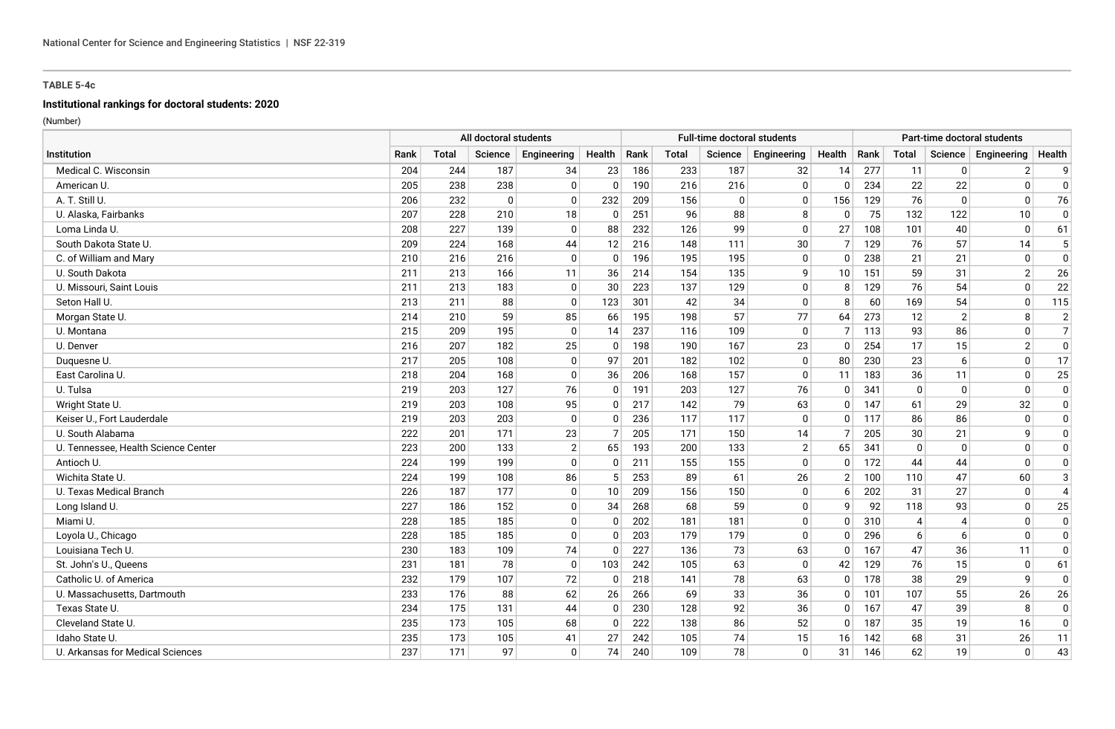# **Institutional rankings for doctoral students: 2020**

|                                     |      | All doctoral students |              |                |              |      |       | <b>Full-time doctoral students</b> |                |                |      |                |                | Part-time doctoral students |                |
|-------------------------------------|------|-----------------------|--------------|----------------|--------------|------|-------|------------------------------------|----------------|----------------|------|----------------|----------------|-----------------------------|----------------|
| Institution                         | Rank | Total                 | Science      | Engineering    | Health       | Rank | Total | Science                            | Engineering    | Health         | Rank | Total          | Science        | Engineering                 | Health         |
| Medical C. Wisconsin                | 204  | 244                   | 187          | 34             | 23           | 186  | 233   | 187                                | 32             | 14             | 277  | 11             | $\mathbf{0}$   | 2 <sup>2</sup>              | 9              |
| American U.                         | 205  | 238                   | 238          | $\overline{0}$ | $\mathbf{0}$ | 190  | 216   | 216                                | $\mathbf{0}$   | $\mathbf{0}$   | 234  | 22             | 22             | $\mathbf{0}$                | $\mathbf 0$    |
| A. T. Still U.                      | 206  | 232                   | $\mathbf{0}$ | $\mathbf 0$    | 232          | 209  | 156   | 0                                  | $\Omega$       | 156            | 129  | 76             | $\Omega$       | $\Omega$                    | 76             |
| U. Alaska, Fairbanks                | 207  | 228                   | 210          | 18             | $\mathbf{0}$ | 251  | 96    | 88                                 | 8              | $\mathbf{0}$   | 75   | 132            | 122            | 10                          | $\Omega$       |
| Loma Linda U.                       | 208  | 227                   | 139          | $\mathbf 0$    | 88           | 232  | 126   | 99                                 | $\mathbf 0$    | 27             | 108  | 101            | 40             | $\Omega$                    | 61             |
| South Dakota State U.               | 209  | 224                   | 168          | 44             | 12           | 216  | 148   | 111                                | 30             | 7 <sup>1</sup> | 129  | 76             | 57             | 14                          | 5              |
| C. of William and Mary              | 210  | 216                   | 216          | $\overline{0}$ | 0            | 196  | 195   | 195                                | $\mathbf 0$    | 0              | 238  | 21             | 21             | $\mathbf{0}$                | $\Omega$       |
| U. South Dakota                     | 211  | 213                   | 166          | 11             | 36           | 214  | 154   | 135                                | 9              | 10             | 151  | 59             | 31             | $\overline{2}$              | 26             |
| U. Missouri, Saint Louis            | 211  | 213                   | 183          | $\mathbf 0$    | 30           | 223  | 137   | 129                                | $\mathbf 0$    | 8              | 129  | 76             | 54             | $\Omega$                    | 22             |
| Seton Hall U.                       | 213  | 211                   | 88           | $\mathbf 0$    | 123          | 301  | 42    | 34                                 | $\Omega$       |                | 60   | 169            | 54             | $\Omega$                    | 115            |
| Morgan State U.                     | 214  | 210                   | 59           | 85             | 66           | 195  | 198   | 57                                 | 77             | 64             | 273  | 12             | $\overline{2}$ | 8                           | $\overline{2}$ |
| U. Montana                          | 215  | 209                   | 195          | $\overline{0}$ | 14           | 237  | 116   | 109                                | $\mathbf 0$    | 7 <sup>1</sup> | 113  | 93             | 86             | $\Omega$                    | $\overline{7}$ |
| U. Denver                           | 216  | 207                   | 182          | 25             | 0            | 198  | 190   | 167                                | 23             | 0              | 254  | 17             | 15             | $\overline{2}$              | $\pmb{0}$      |
| Duquesne U.                         | 217  | 205                   | 108          | $\overline{0}$ | 97           | 201  | 182   | 102                                | $\Omega$       | 80             | 230  | 23             | 6              | $\Omega$                    | 17             |
| East Carolina U.                    | 218  | 204                   | 168          | $\overline{0}$ | 36           | 206  | 168   | 157                                | $\mathbf 0$    | 11             | 183  | 36             | 11             | $\mathbf{0}$                | 25             |
| U. Tulsa                            | 219  | 203                   | 127          | 76             | $\mathbf 0$  | 191  | 203   | 127                                | 76             | $\mathbf{0}$   | 341  | $\mathbf 0$    | $\mathbf{0}$   | $\Omega$                    | $\mathbf 0$    |
| Wright State U.                     | 219  | 203                   | 108          | 95             | 0            | 217  | 142   | 79                                 | 63             | $\mathbf{0}$   | 147  | 61             | 29             | 32                          | $\Omega$       |
| Keiser U., Fort Lauderdale          | 219  | 203                   | 203          | $\overline{0}$ | $\Omega$     | 236  | 117   | 117                                | $\mathbf 0$    | $\mathbf{0}$   | 117  | 86             | 86             | $\Omega$                    | $\Omega$       |
| U. South Alabama                    | 222  | 201                   | 171          | 23             | 7            | 205  | 171   | 150                                | 14             | 7 <sup>1</sup> | 205  | 30             | 21             | q                           | $\Omega$       |
| U. Tennessee, Health Science Center | 223  | 200                   | 133          | $\overline{2}$ | 65           | 193  | 200   | 133                                | $\overline{2}$ | 65             | 341  | $\mathbf 0$    | $\mathbf{0}$   | $\Omega$                    | $\mathbf{0}$   |
| Antioch U.                          | 224  | 199                   | 199          | $\overline{0}$ | $\mathbf 0$  | 211  | 155   | 155                                | $\mathbf{0}$   | $\mathbf{0}$   | 172  | 44             | 44             | $\Omega$                    | $\Omega$       |
| Wichita State U.                    | 224  | 199                   | 108          | 86             | 5            | 253  | 89    | 61                                 | 26             | $\overline{2}$ | 100  | 110            | 47             | 60                          | 3              |
| U. Texas Medical Branch             | 226  | 187                   | 177          | $\mathbf 0$    | 10           | 209  | 156   | 150                                | $\mathbf{0}$   | 6              | 202  | 31             | 27             | $\Omega$                    | $\overline{4}$ |
| Long Island U.                      | 227  | 186                   | 152          | $\overline{0}$ | 34           | 268  | 68    | 59                                 | 0              | 9              | 92   | 118            | 93             | $\Omega$                    | 25             |
| Miami U.                            | 228  | 185                   | 185          | $\overline{0}$ | $\mathbf{0}$ | 202  | 181   | 181                                | $\mathbf{0}$   | $\mathbf{0}$   | 310  | $\overline{4}$ | Δ              | $\Omega$                    | $\mathbf 0$    |
| Loyola U., Chicago                  | 228  | 185                   | 185          | $\overline{0}$ | 0            | 203  | 179   | 179                                | $\Omega$       | $\Omega$       | 296  | 6              | 6              | $\mathbf{0}$                | 0              |
| Louisiana Tech U.                   | 230  | 183                   | 109          | 74             | $\Omega$     | 227  | 136   | 73                                 | 63             | $\Omega$       | 167  | 47             | 36             | 11                          | 0              |
| St. John's U., Queens               | 231  | 181                   | 78           | $\mathbf 0$    | 103          | 242  | 105   | 63                                 | $\mathbf{0}$   | 42             | 129  | 76             | 15             | $\mathbf{0}$                | 61             |
| Catholic U. of America              | 232  | 179                   | 107          | 72             | $\mathbf{0}$ | 218  | 141   | 78                                 | 63             | $\mathbf{0}$   | 178  | 38             | 29             | $\mathsf{q}$                | $\mathbf 0$    |
| U. Massachusetts, Dartmouth         | 233  | 176                   | 88           | 62             | 26           | 266  | 69    | 33                                 | 36             | $\Omega$       | 101  | 107            | 55             | 26                          | 26             |
| Texas State U.                      | 234  | 175                   | 131          | 44             | $\Omega$     | 230  | 128   | 92                                 | 36             | $\mathbf{0}$   | 167  | 47             | 39             | 8                           | $\Omega$       |
| Cleveland State U.                  | 235  | 173                   | 105          | 68             | $\Omega$     | 222  | 138   | 86                                 | 52             | 0              | 187  | 35             | 19             | 16                          | $\Omega$       |
| Idaho State U.                      | 235  | 173                   | 105          | 41             | 27           | 242  | 105   | 74                                 | 15             | 16             | 142  | 68             | 31             | 26                          | 11             |
| U. Arkansas for Medical Sciences    | 237  | 171                   | 97           | $\overline{0}$ | 74           | 240  | 109   | 78                                 | $\mathbf{0}$   | 31             | 146  | 62             | 19             | $\mathbf{0}$                | 43             |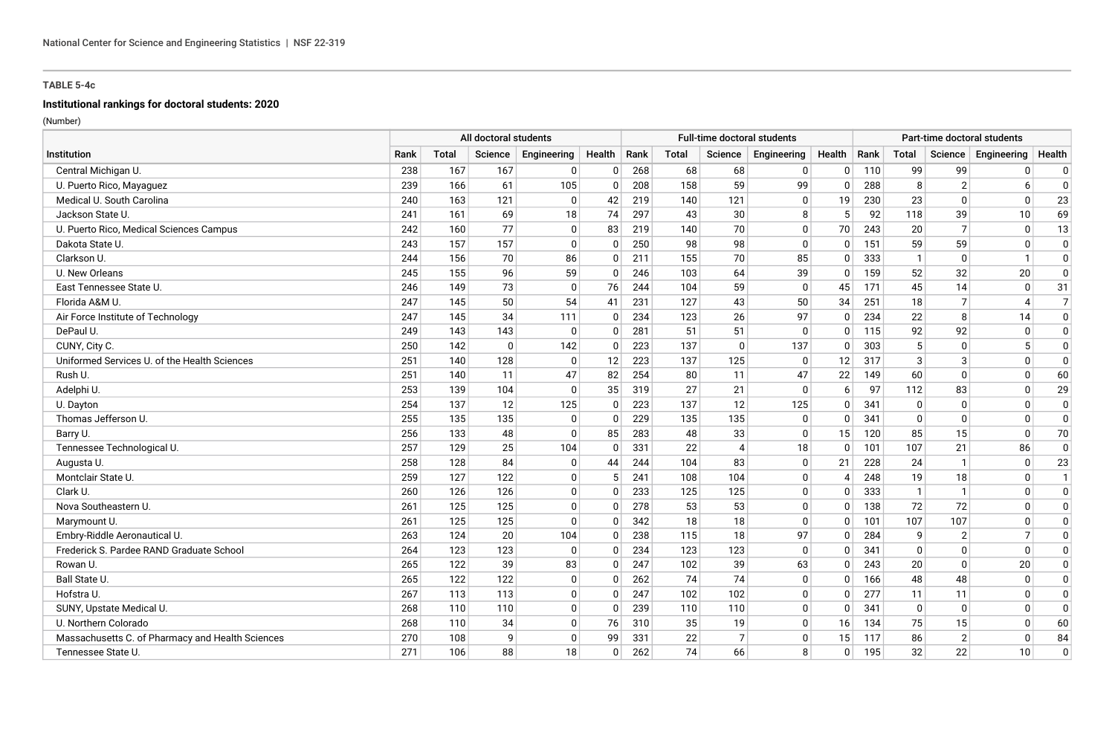# **Institutional rankings for doctoral students: 2020**

|                                                  | All doctoral students |       |          |                |             |      |       |                | <b>Full-time doctoral students</b> |                |      |                |                | Part-time doctoral students |                |
|--------------------------------------------------|-----------------------|-------|----------|----------------|-------------|------|-------|----------------|------------------------------------|----------------|------|----------------|----------------|-----------------------------|----------------|
| Institution                                      | Rank                  | Total | Science  | Engineering    | Health      | Rank | Total | Science        | Engineering                        | Health         | Rank | <b>Total</b>   | Science        | Engineering                 | Health         |
| Central Michigan U.                              | 238                   | 167   | 167      | 0              | $\Omega$    | 268  | 68    | 68             | $\overline{0}$                     | 0 <sup>1</sup> | 110  | 99             | 99             | $\Omega$                    | $\mathbf{0}$   |
| U. Puerto Rico, Mayaguez                         | 239                   | 166   | 61       | 105            | 0           | 208  | 158   | 59             | 99                                 | $\mathbf{0}$   | 288  | 8              | 2              | 6                           | $\mathbf 0$    |
| Medical U. South Carolina                        | 240                   | 163   | 121      | $\mathbf 0$    | 42          | 219  | 140   | 121            | $\Omega$                           | 19             | 230  | 23             | $\mathbf{0}$   | $\Omega$                    | 23             |
| Jackson State U.                                 | 241                   | 161   | 69       | 18             | 74          | 297  | 43    | 30             | 8                                  | 5              | 92   | 118            | 39             | 10                          | 69             |
| U. Puerto Rico, Medical Sciences Campus          | 242                   | 160   | 77       | $\mathbf 0$    | 83          | 219  | 140   | 70             | $\Omega$                           | 70             | 243  | 20             | $\overline{7}$ | $\Omega$                    | 13             |
| Dakota State U.                                  | 243                   | 157   | 157      | $\mathbf 0$    | $\Omega$    | 250  | 98    | 98             | $\mathbf{0}$                       | 0 <sup>1</sup> | 151  | 59             | 59             | $\Omega$                    | $\mathbf 0$    |
| Clarkson U.                                      | 244                   | 156   | 70       | 86             | 0           | 211  | 155   | 70             | 85                                 | $\mathbf{0}$   | 333  | $\mathbf{1}$   | $\Omega$       |                             | 0              |
| U. New Orleans                                   | 245                   | 155   | 96       | 59             | $\mathbf 0$ | 246  | 103   | 64             | 39                                 | $\mathbf{0}$   | 159  | 52             | 32             | 20                          | $\mathbf{0}$   |
| East Tennessee State U.                          | 246                   | 149   | 73       | $\mathbf 0$    | 76          | 244  | 104   | 59             | $\mathbf{0}$                       | 45             | 171  | 45             | 14             | $\mathbf{0}$                | 31             |
| Florida A&M U.                                   | 247                   | 145   | 50       | 54             | 41          | 231  | 127   | 43             | 50                                 | 34             | 251  | 18             | $\overline{7}$ | 4                           | $\overline{7}$ |
| Air Force Institute of Technology                | 247                   | 145   | 34       | 111            | $\Omega$    | 234  | 123   | 26             | 97                                 | $\Omega$       | 234  | 22             | 8              | 14                          | $\Omega$       |
| DePaul U.                                        | 249                   | 143   | 143      | $\mathbf 0$    | $\Omega$    | 281  | 51    | 51             | $\overline{0}$                     | $\mathbf{0}$   | 115  | 92             | 92             | $\Omega$                    | $\mathbf{0}$   |
| CUNY, City C.                                    | 250                   | 142   | $\Omega$ | 142            | $\Omega$    | 223  | 137   | $\mathbf{0}$   | 137                                | $\mathbf{0}$   | 303  | 5              | $\mathbf{0}$   |                             | $\mathbf{0}$   |
| Uniformed Services U. of the Health Sciences     | 251                   | 140   | 128      | 0              | 12          | 223  | 137   | 125            | $\mathbf{0}$                       | 12             | 317  | 3              | 3              |                             | $\mathbf 0$    |
| Rush U.                                          | 251                   | 140   | 11       | 47             | 82          | 254  | 80    | 11             | 47                                 | 22             | 149  | 60             | $\mathbf{0}$   | $\Omega$                    | 60             |
| Adelphi U.                                       | 253                   | 139   | 104      | $\mathbf 0$    | 35          | 319  | 27    | 21             | $\Omega$                           | 6              | 97   | 112            | 83             | $\Omega$                    | 29             |
| U. Dayton                                        | 254                   | 137   | 12       | 125            | 0           | 223  | 137   | 12             | 125                                | $\mathbf{0}$   | 341  | 0              | $\mathbf{0}$   |                             | $\mathbf{0}$   |
| Thomas Jefferson U.                              | 255                   | 135   | 135      | $\mathbf 0$    | $\Omega$    | 229  | 135   | 135            | $\Omega$                           | $\mathbf{0}$   | 341  | $\Omega$       | $\Omega$       |                             | $\mathbf{0}$   |
| Barry U.                                         | 256                   | 133   | 48       | $\mathbf 0$    | 85          | 283  | 48    | 33             | $\mathbf{0}$                       | 15             | 120  | 85             | 15             | $\Omega$                    | 70             |
| Tennessee Technological U.                       | 257                   | 129   | 25       | 104            | $\mathbf 0$ | 331  | 22    | $\overline{4}$ | 18                                 | $\mathbf{0}$   | 101  | 107            | 21             | 86                          | $\mathbf 0$    |
| Augusta U.                                       | 258                   | 128   | 84       | $\mathbf 0$    | 44          | 244  | 104   | 83             | $\overline{0}$                     | 21             | 228  | 24             | $\mathbf{1}$   | 0                           | 23             |
| Montclair State U.                               | 259                   | 127   | 122      | $\overline{0}$ | 5           | 241  | 108   | 104            | $\Omega$                           | $\overline{4}$ | 248  | 19             | 18             | $\Omega$                    | $\mathbf{1}$   |
| Clark U.                                         | 260                   | 126   | 126      | 0              | $\Omega$    | 233  | 125   | 125            | $\overline{0}$                     | 0              | 333  | $\overline{1}$ | $\mathbf{1}$   | $\Omega$                    | $\mathbf{0}$   |
| Nova Southeastern U.                             | 261                   | 125   | 125      | $\overline{0}$ | $\Omega$    | 278  | 53    | 53             | $\Omega$                           | $\Omega$       | 138  | 72             | 72             | n                           | $\Omega$       |
| Marymount U.                                     | 261                   | 125   | 125      | $\mathbf 0$    | $\Omega$    | 342  | 18    | 18             | $\Omega$                           | $\Omega$       | 101  | 107            | 107            | n                           | $\Omega$       |
| Embry-Riddle Aeronautical U.                     | 263                   | 124   | 20       | 104            | $\Omega$    | 238  | 115   | 18             | 97                                 | $\mathbf{0}$   | 284  | 9              | 2              |                             | $\mathbf{0}$   |
| Frederick S. Pardee RAND Graduate School         | 264                   | 123   | 123      | $\overline{0}$ | $\Omega$    | 234  | 123   | 123            | $\Omega$                           | $\mathbf{0}$   | 341  | $\mathbf 0$    | $\mathbf{0}$   | $\Omega$                    | $\mathbf 0$    |
| Rowan U.                                         | 265                   | 122   | 39       | 83             | $\Omega$    | 247  | 102   | 39             | 63                                 | $\Omega$       | 243  | 20             | $\Omega$       | 20                          | $\mathbf{0}$   |
| Ball State U.                                    | 265                   | 122   | 122      | $\overline{0}$ | $\Omega$    | 262  | 74    | 74             | $\Omega$                           | $\mathbf{0}$   | 166  | 48             | 48             | $\Omega$                    | $\mathbf{0}$   |
| Hofstra U.                                       | 267                   | 113   | 113      | $\overline{0}$ | $\Omega$    | 247  | 102   | 102            | $\Omega$                           | $\mathbf{0}$   | 277  | 11             | 11             |                             | $\mathbf{0}$   |
| SUNY, Upstate Medical U.                         | 268                   | 110   | 110      | $\mathbf 0$    | $\Omega$    | 239  | 110   | 110            | $\Omega$                           | $\Omega$       | 341  | $\mathbf 0$    | $\mathbf{0}$   | $\Omega$                    | $\mathbf 0$    |
| U. Northern Colorado                             | 268                   | 110   | 34       | 0              | 76          | 310  | 35    | 19             | $\mathbf{0}$                       | 16             | 134  | 75             | 15             |                             | 60             |
| Massachusetts C. of Pharmacy and Health Sciences | 270                   | 108   | 9        | $\mathbf 0$    | 99          | 331  | 22    | $\overline{7}$ | $\mathbf{0}$                       | 15             | 117  | 86             | $\overline{2}$ |                             | 84             |
| Tennessee State U.                               | 271                   | 106   | 88       | 18             | $\Omega$    | 262  | 74    | 66             | 8                                  | $\mathbf{0}$   | 195  | 32             | 22             | 10                          | $\mathbf 0$    |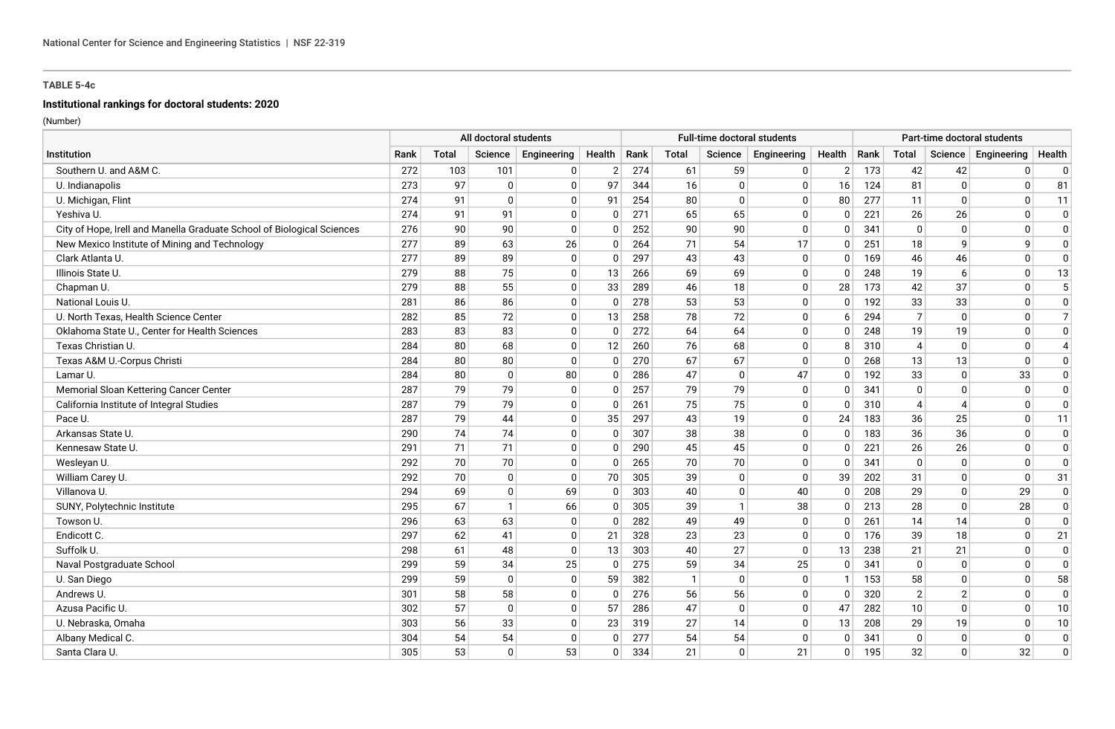# **Institutional rankings for doctoral students: 2020**

|                                                                        |      |       | All doctoral students |              |                |      |              |              | <b>Full-time doctoral students</b> |                |      |                |                          | Part-time doctoral students |                |
|------------------------------------------------------------------------|------|-------|-----------------------|--------------|----------------|------|--------------|--------------|------------------------------------|----------------|------|----------------|--------------------------|-----------------------------|----------------|
| Institution                                                            | Rank | Total | Science               | Engineering  | Health         | Rank | Total        | Science      | Engineering                        | Health         | Rank | Total          | Science                  | Engineering                 | Health         |
| Southern U. and A&M C.                                                 | 272  | 103   | 101                   | 0            | $\overline{2}$ | 274  | 61           | 59           | 0                                  | $\overline{2}$ | 173  | 42             | 42                       | $\mathbf 0$                 | $\mathbf 0$    |
| U. Indianapolis                                                        | 273  | 97    | $\mathbf{0}$          | 0            | 97             | 344  | 16           | 0            | 0                                  | 16             | 124  | 81             | $\mathbf{0}$             | $\mathbf{0}$                | 81             |
| U. Michigan, Flint                                                     | 274  | 91    | $\Omega$              | $\mathbf{0}$ | 91             | 254  | 80           | 0            | $\Omega$                           | 80             | 277  | 11             | $\Omega$                 | $\Omega$                    | 11             |
| Yeshiva U.                                                             | 274  | 91    | 91                    | 0            | 0              | 271  | 65           | 65           | $\mathbf{0}$                       | 0              | 221  | 26             | 26                       | $\Omega$                    | $\Omega$       |
| City of Hope, Irell and Manella Graduate School of Biological Sciences | 276  | 90    | 90                    | $\mathbf 0$  | $\Omega$       | 252  | 90           | 90           | $\mathbf{0}$                       | 0              | 341  | $\Omega$       | $\mathbf{0}$             | $\Omega$                    | $\Omega$       |
| New Mexico Institute of Mining and Technology                          | 277  | 89    | 63                    | 26           | 0              | 264  | 71           | 54           | 17                                 | 0              | 251  | 18             | 9                        | 9                           | $\Omega$       |
| Clark Atlanta U.                                                       | 277  | 89    | 89                    | 0            | 0              | 297  | 43           | 43           | 0                                  | $\mathbf{0}$   | 169  | 46             | 46                       | $\mathbf{0}$                | $\Omega$       |
| Illinois State U.                                                      | 279  | 88    | 75                    | 0            | 13             | 266  | 69           | 69           | $\mathbf 0$                        | $\Omega$       | 248  | 19             | 6                        | $\mathbf{0}$                | 13             |
| Chapman U.                                                             | 279  | 88    | 55                    | 0            | 33             | 289  | 46           | 18           | $\mathbf 0$                        | 28             | 173  | 42             | 37                       | $\mathbf{0}$                | 5              |
| National Louis U.                                                      | 281  | 86    | 86                    | $\mathbf 0$  | $\mathbf{0}$   | 278  | 53           | 53           | $\Omega$                           | $\mathbf{0}$   | 192  | 33             | 33                       | $\Omega$                    | $\Omega$       |
| U. North Texas, Health Science Center                                  | 282  | 85    | 72                    | $\mathbf 0$  | 13             | 258  | 78           | 72           | $\mathbf 0$                        | 6              | 294  | $\overline{7}$ | $\mathbf 0$              | $\Omega$                    | $\overline{7}$ |
| Oklahoma State U., Center for Health Sciences                          | 283  | 83    | 83                    | 0            | $\Omega$       | 272  | 64           | 64           | $\mathbf{0}$                       | $\mathbf{0}$   | 248  | 19             | 19                       | $\Omega$                    | $\mathbf 0$    |
| Texas Christian U.                                                     | 284  | 80    | 68                    | 0            | 12             | 260  | 76           | 68           | $\mathbf{0}$                       | 8              | 310  | $\overline{4}$ | $\mathbf 0$              | $\mathbf{0}$                | $\overline{4}$ |
| Texas A&M U.-Corpus Christi                                            | 284  | 80    | 80                    | 0            | $\Omega$       | 270  | 67           | 67           | $\mathbf{0}$                       | <sup>0</sup>   | 268  | 13             | 13                       | $\Omega$                    | $\mathbf 0$    |
| Lamar U.                                                               | 284  | 80    | $\mathbf 0$           | 80           | 0              | 286  | 47           | $\Omega$     | 47                                 | $\mathbf{0}$   | 192  | 33             | $\Omega$                 | 33                          | $\mathbf 0$    |
| Memorial Sloan Kettering Cancer Center                                 | 287  | 79    | 79                    | 0            | 0              | 257  | 79           | 79           | $\mathbf 0$                        | 0              | 341  | 0              | $\Omega$                 | 0                           | 0              |
| California Institute of Integral Studies                               | 287  | 79    | 79                    | 0            | $\Omega$       | 261  | 75           | 75           | $\Omega$                           | $\Omega$       | 310  | $\overline{4}$ | $\boldsymbol{\varDelta}$ | $\Omega$                    | $\Omega$       |
| Pace U.                                                                | 287  | 79    | 44                    | 0            | 35             | 297  | 43           | 19           | 0                                  | 24             | 183  | 36             | 25                       | $\Omega$                    | 11             |
| Arkansas State U.                                                      | 290  | 74    | 74                    | $\mathbf 0$  | $\mathbf{0}$   | 307  | 38           | 38           | $\mathbf 0$                        | 0              | 183  | 36             | 36                       | $\Omega$                    | $\Omega$       |
| Kennesaw State U.                                                      | 291  | 71    | 71                    | 0            | 0              | 290  | 45           | 45           | 0                                  | 0              | 221  | 26             | 26                       | $\Omega$                    | $\Omega$       |
| Wesleyan U.                                                            | 292  | 70    | 70                    | 0            | $\Omega$       | 265  | 70           | 70           | $\mathbf{0}$                       | 0              | 341  | $\Omega$       | $\Omega$                 | $\Omega$                    | $\Omega$       |
| William Carey U.                                                       | 292  | 70    | $\mathbf{0}$          | 0            | 70             | 305  | 39           | 0            | $\mathbf 0$                        | 39             | 202  | 31             | $\Omega$                 | $\Omega$                    | 31             |
| Villanova U.                                                           | 294  | 69    | $\Omega$              | 69           | $\Omega$       | 303  | 40           | $\Omega$     | 40                                 | $\Omega$       | 208  | 29             | $\Omega$                 | 29                          | $\mathbf 0$    |
| SUNY, Polytechnic Institute                                            | 295  | 67    | $\mathbf{1}$          | 66           | $\Omega$       | 305  | 39           | -1           | 38                                 | <sup>0</sup>   | 213  | 28             | $\Omega$                 | 28                          | $\mathbf 0$    |
| Towson U.                                                              | 296  | 63    | 63                    | 0            | $\Omega$       | 282  | 49           | 49           | 0                                  | $\Omega$       | 261  | 14             | 14                       | $\mathbf{0}$                | $\mathbf 0$    |
| Endicott C.                                                            | 297  | 62    | 41                    | $\mathbf 0$  | 21             | 328  | 23           | 23           | $\Omega$                           | $\mathbf{0}$   | 176  | 39             | 18                       | $\Omega$                    | 21             |
| Suffolk U.                                                             | 298  | 61    | 48                    | $\mathbf 0$  | 13             | 303  | 40           | 27           | $\mathbf 0$                        | 13             | 238  | 21             | 21                       | $\mathbf{0}$                | $\mathbf 0$    |
| Naval Postgraduate School                                              | 299  | 59    | 34                    | 25           | $\mathbf{0}$   | 275  | 59           | 34           | 25                                 | $\mathbf{0}$   | 341  | $\Omega$       | $\mathbf{0}$             | $\Omega$                    | $\mathbf 0$    |
| U. San Diego                                                           | 299  | 59    | $\mathbf{0}$          | 0            | 59             | 382  | $\mathbf{1}$ | 0            | $\mathbf 0$                        | $\mathbf{1}$   | 153  | 58             | $\Omega$                 | $\Omega$                    | 58             |
| Andrews U.                                                             | 301  | 58    | 58                    | 0            | $\Omega$       | 276  | 56           | 56           | $\mathbf{0}$                       | $\mathbf{0}$   | 320  | $\overline{2}$ | 2                        | $\Omega$                    | $\mathbf 0$    |
| Azusa Pacific U.                                                       | 302  | 57    | $\mathbf{0}$          | 0            | 57             | 286  | 47           | $\Omega$     | $\Omega$                           | 47             | 282  | 10             | $\Omega$                 | $\Omega$                    | 10             |
| U. Nebraska, Omaha                                                     | 303  | 56    | 33                    | 0            | 23             | 319  | 27           | 14           | $\Omega$                           | 13             | 208  | 29             | 19                       | $\Omega$                    | 10             |
| Albany Medical C.                                                      | 304  | 54    | 54                    | $\mathbf{0}$ | 0              | 277  | 54           | 54           | $\mathbf{0}$                       | 0              | 341  | $\Omega$       | $\Omega$                 | $\Omega$                    | $\overline{0}$ |
| Santa Clara U.                                                         | 305  | 53    | $\Omega$              | 53           | $\Omega$       | 334  | 21           | $\mathbf{0}$ | 21                                 | 0              | 195  | 32             | $\mathbf{0}$             | 32                          | $\Omega$       |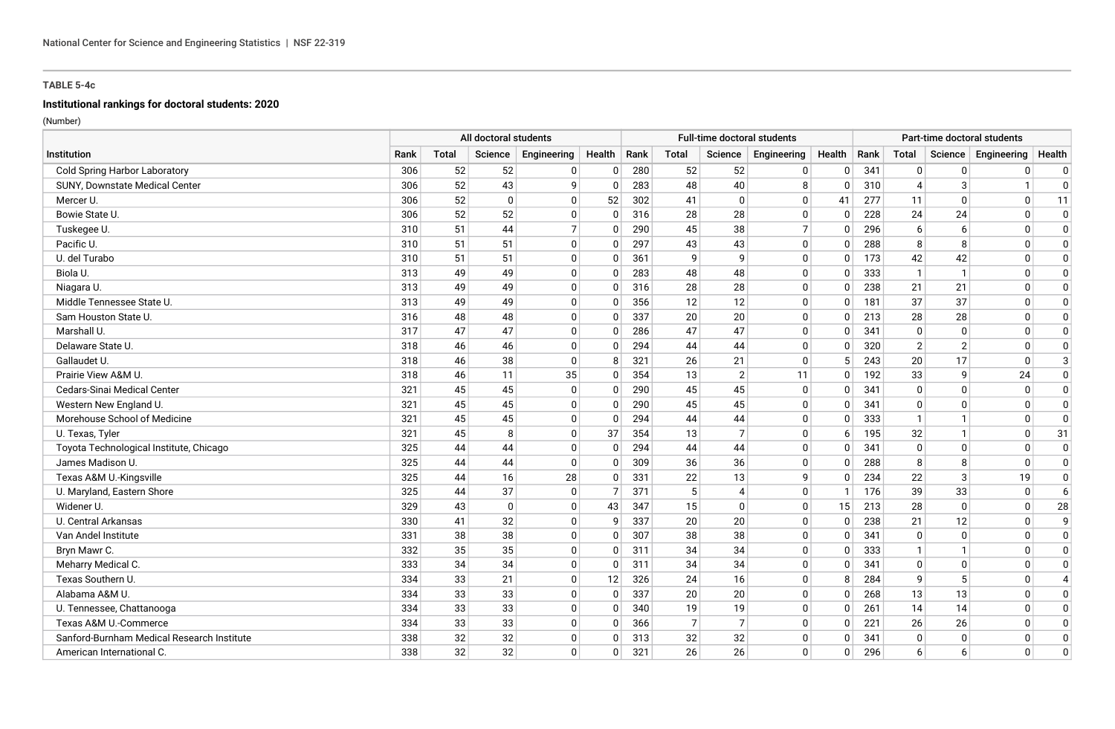# **Institutional rankings for doctoral students: 2020**

|                                            |      |       | All doctoral students |                |              |      |                | Full-time doctoral students |                |              |      |                |                   | Part-time doctoral students |                |
|--------------------------------------------|------|-------|-----------------------|----------------|--------------|------|----------------|-----------------------------|----------------|--------------|------|----------------|-------------------|-----------------------------|----------------|
| Institution                                | Rank | Total | Science               | Engineering    | Health       | Rank | Total          | Science                     | Engineering    | Health       | Rank | Total          | Science           | Engineering                 | Health         |
| <b>Cold Spring Harbor Laboratory</b>       | 306  | 52    | 52                    | 0              | $\mathbf{0}$ | 280  | 52             | 52                          | 0              | 0            | 341  | $\Omega$       | $\Omega$          | 0                           | $\mathbf 0$    |
| SUNY, Downstate Medical Center             | 306  | 52    | 43                    | 9              | $\Omega$     | 283  | 48             | 40                          | 8              | $\mathbf{0}$ | 310  | $\overline{4}$ | 3                 |                             | 0              |
| Mercer U.                                  | 306  | 52    | $\Omega$              | 0              | 52           | 302  | 41             | 0                           | $\Omega$       | 41           | 277  | 11             | $\Omega$          | $\Omega$                    | -11            |
| Bowie State U.                             | 306  | 52    | 52                    | 0              | 0            | 316  | 28             | 28                          | 0              | 0            | 228  | 24             | 24                | $\Omega$                    | $\Omega$       |
| Tuskegee U.                                | 310  | 51    | 44                    | $\overline{7}$ | $\Omega$     | 290  | 45             | 38                          | $\overline{7}$ | 0            | 296  | 6              | 6                 | $\Omega$                    | $\Omega$       |
| Pacific U.                                 | 310  | 51    | 51                    | $\mathbf 0$    | 0            | 297  | 43             | 43                          | $\mathbf 0$    | $\mathbf{0}$ | 288  | 8              | 8                 | $\Omega$                    | $\Omega$       |
| U. del Turabo                              | 310  | 51    | 51                    | 0              | 0            | 361  | q              | q                           | 0              | $\mathbf{0}$ | 173  | 42             | 42                | 0                           | $\Omega$       |
| Biola U.                                   | 313  | 49    | 49                    | 0              | 0            | 283  | 48             | 48                          | $\mathbf 0$    | $\Omega$     | 333  | $\mathbf{1}$   | -1                | $\Omega$                    | $\Omega$       |
| Niagara U.                                 | 313  | 49    | 49                    | 0              | 0            | 316  | 28             | 28                          | 0              | $\Omega$     | 238  | 21             | 21                | $\Omega$                    | 0              |
| Middle Tennessee State U.                  | 313  | 49    | 49                    | $\mathbf 0$    | $\Omega$     | 356  | 12             | 12                          | $\Omega$       | $\Omega$     | 181  | 37             | 37                | $\Omega$                    | $\Omega$       |
| Sam Houston State U.                       | 316  | 48    | 48                    | 0              | 0            | 337  | 20             | 20                          | $\mathbf 0$    | $\Omega$     | 213  | 28             | 28                | $\Omega$                    | 0              |
| Marshall U.                                | 317  | 47    | 47                    | 0              | $\Omega$     | 286  | 47             | 47                          | $\mathbf{0}$   | $\mathbf{0}$ | 341  | $\Omega$       | $\mathbf{0}$      | $\Omega$                    | $\mathbf 0$    |
| Delaware State U.                          | 318  | 46    | 46                    | 0              | $\Omega$     | 294  | 44             | 44                          | $\mathbf{0}$   | 0            | 320  | $\overline{2}$ | $\overline{2}$    | $\Omega$                    | 0              |
| Gallaudet U.                               | 318  | 46    | 38                    | 0              | 8            | 321  | 26             | 21                          | $\mathbf{0}$   | 5            | 243  | 20             | 17                | $\Omega$                    | 3              |
| Prairie View A&M U.                        | 318  | 46    | 11                    | 35             | 0            | 354  | 13             | $\overline{2}$              | 11             | $\mathbf{0}$ | 192  | 33             | q                 | 24                          | $\mathbf 0$    |
| Cedars-Sinai Medical Center                | 321  | 45    | 45                    | 0              | 0            | 290  | 45             | 45                          | $\mathbf 0$    | 0            | 341  | $\Omega$       | $\Omega$          | $\mathbf{0}$                | $\mathbf 0$    |
| Western New England U.                     | 321  | 45    | 45                    | 0              | $\Omega$     | 290  | 45             | 45                          | $\Omega$       | $\mathbf{0}$ | 341  | $\Omega$       | $\Omega$          | n                           | $\Omega$       |
| Morehouse School of Medicine               | 321  | 45    | 45                    | 0              | $\Omega$     | 294  | 44             | 44                          | $\mathbf{0}$   | $\mathbf{0}$ | 333  |                |                   | n                           | $\Omega$       |
| U. Texas, Tyler                            | 321  | 45    | 8                     | $\mathbf 0$    | 37           | 354  | 13             | $\overline{7}$              | $\mathbf 0$    | 6            | 195  | 32             |                   | $\Omega$                    | 31             |
| Toyota Technological Institute, Chicago    | 325  | 44    | 44                    | $\mathbf 0$    | 0            | 294  | 44             | 44                          | 0              | 0            | 341  | $\Omega$       | $\Omega$          | $\Omega$                    | 0              |
| James Madison U.                           | 325  | 44    | 44                    | $\mathbf 0$    | <sup>0</sup> | 309  | 36             | 36                          | $\mathbf{0}$   | $\Omega$     | 288  | 8              | 8                 | $\Omega$                    | $\Omega$       |
| Texas A&M U.-Kingsville                    | 325  | 44    | 16                    | 28             | 0            | 331  | 22             | 13                          | 9              | 0            | 234  | 22             | 3                 | 19                          | $\mathbf 0$    |
| U. Maryland, Eastern Shore                 | 325  | 44    | 37                    | $\mathbf 0$    | 7            | 371  | 5              | 4                           | $\mathbf{0}$   |              | 176  | 39             | 33                | $\Omega$                    | -6             |
| Widener U.                                 | 329  | 43    | $\Omega$              | $\mathbf 0$    | 43           | 347  | 15             | 0                           | $\mathbf 0$    | 15           | 213  | 28             | $\Omega$          | $\Omega$                    | 28             |
| U. Central Arkansas                        | 330  | 41    | 32                    | 0              | 9            | 337  | 20             | 20                          | 0              | $\mathbf{0}$ | 238  | 21             | $12 \overline{ }$ | $\Omega$                    | 9              |
| Van Andel Institute                        | 331  | 38    | 38                    | $\mathbf 0$    | $\Omega$     | 307  | 38             | 38                          | $\Omega$       | $\mathbf{0}$ | 341  | $\Omega$       | $\Omega$          | $\Omega$                    | $\mathbf 0$    |
| Bryn Mawr C.                               | 332  | 35    | 35                    | $\mathbf 0$    | 0            | 311  | 34             | 34                          | $\mathbf{0}$   | $\mathbf{0}$ | 333  |                |                   | $\Omega$                    | 0              |
| Meharry Medical C.                         | 333  | 34    | 34                    | 0              | $\Omega$     | 311  | 34             | 34                          | $\Omega$       | $\Omega$     | 341  | $\Omega$       | $\Omega$          | $\Omega$                    | $\mathbf 0$    |
| Texas Southern U.                          | 334  | 33    | 21                    | 0              | 12           | 326  | 24             | 16                          | $\mathbf{0}$   | 8            | 284  | 9              |                   | $\Omega$                    | $\overline{4}$ |
| Alabama A&M U.                             | 334  | 33    | 33                    | 0              | 0            | 337  | 20             | 20                          | $\mathbf{0}$   | 0            | 268  | 13             | 13                | $\Omega$                    | $\mathbf 0$    |
| U. Tennessee, Chattanooga                  | 334  | 33    | 33                    | 0              | 0            | 340  | 19             | 19                          | $\Omega$       | 0            | 261  | 14             | 14                | $\Omega$                    | $\Omega$       |
| Texas A&M U.-Commerce                      | 334  | 33    | 33                    | 0              | $\Omega$     | 366  | $\overline{7}$ | $\overline{7}$              | $\Omega$       | $\Omega$     | 221  | 26             | 26                | <sup>0</sup>                | $\Omega$       |
| Sanford-Burnham Medical Research Institute | 338  | 32    | 32                    | 0              | $\Omega$     | 313  | 32             | 32                          | $\mathbf{0}$   | $\mathbf{0}$ | 341  | $\Omega$       | $\Omega$          | $\Omega$                    | $\Omega$       |
| American International C.                  | 338  | 32    | 32                    | $\mathbf 0$    | $\Omega$     | 321  | 26             | 26                          | $\mathbf{0}$   | 0            | 296  | 6              | 6                 | $\mathbf{0}$                | $\Omega$       |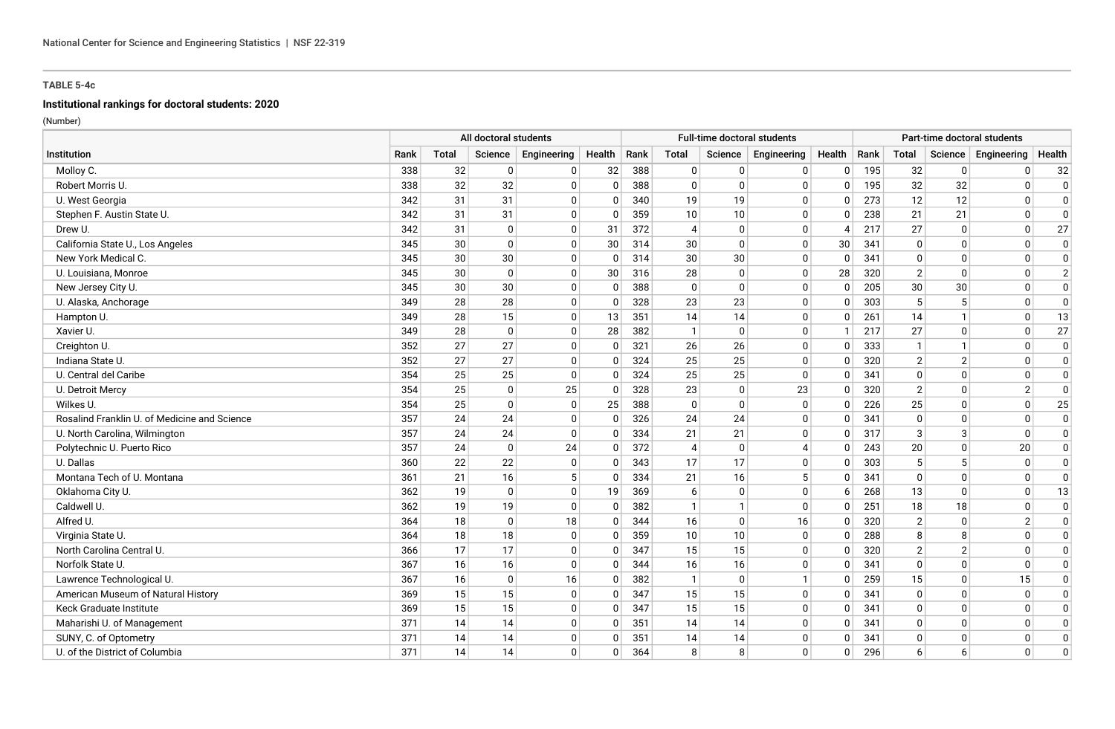# **Institutional rankings for doctoral students: 2020**

|                                              |      |       | All doctoral students |             |              |      |                |             | Full-time doctoral students |              |      |                |                | Part-time doctoral students |                |
|----------------------------------------------|------|-------|-----------------------|-------------|--------------|------|----------------|-------------|-----------------------------|--------------|------|----------------|----------------|-----------------------------|----------------|
| Institution                                  | Rank | Total | Science               | Engineering | Health       | Rank | Total          | Science     | Engineering                 | Health       | Rank | Total          | Science        | Engineering                 | Health         |
| Molloy C.                                    | 338  | 32    | $\mathbf{0}$          | 0           | 32           | 388  | 0              | $\Omega$    | 0                           | 0            | 195  | 32             | 0              | 0                           | 32             |
| Robert Morris U.                             | 338  | 32    | 32                    | $\mathbf 0$ | 0            | 388  | $\mathbf{0}$   | 0           | $\mathbf{0}$                | $\mathbf{0}$ | 195  | 32             | 32             | $\Omega$                    | $\Omega$       |
| U. West Georgia                              | 342  | 31    | 31                    | $\mathbf 0$ | $\Omega$     | 340  | 19             | 19          | $\Omega$                    | $\mathbf{0}$ | 273  | 12             | 12             | $\Omega$                    | $\Omega$       |
| Stephen F. Austin State U.                   | 342  | 31    | 31                    | $\mathbf 0$ | $\Omega$     | 359  | 10             | 10          | 0                           | $\mathbf{0}$ | 238  | 21             | 21             | $\Omega$                    | $\Omega$       |
| Drew U.                                      | 342  | 31    | $\Omega$              | $\mathbf 0$ | 31           | 372  | $\overline{4}$ | $\mathbf 0$ | 0                           | Δ            | 217  | 27             | $\Omega$       | $\Omega$                    | 27             |
| California State U., Los Angeles             | 345  | 30    | $\mathbf{0}$          | 0           | 30           | 314  | 30             | 0           | $\mathbf 0$                 | 30           | 341  | 0              | $\Omega$       | 0                           | 0              |
| New York Medical C.                          | 345  | 30    | 30                    | 0           | $\mathbf 0$  | 314  | 30             | 30          | $\mathbf 0$                 | $\mathbf{0}$ | 341  | $\Omega$       | $\Omega$       | $\Omega$                    | $\Omega$       |
| U. Louisiana, Monroe                         | 345  | 30    | $\mathbf{0}$          | $\mathbf 0$ | 30           | 316  | 28             | 0           | 0                           | 28           | 320  | $\overline{2}$ | $\Omega$       | $\Omega$                    | $\overline{2}$ |
| New Jersey City U.                           | 345  | 30    | 30                    | $\mathbf 0$ | 0            | 388  | $\mathbf{0}$   | $\Omega$    | 0                           | $\Omega$     | 205  | 30             | 30             | $\Omega$                    | $\Omega$       |
| U. Alaska, Anchorage                         | 349  | 28    | 28                    | 0           | 0            | 328  | 23             | 23          | 0                           | $\Omega$     | 303  | 5              | 5              | $\Omega$                    | $\mathbf 0$    |
| Hampton U.                                   | 349  | 28    | 15                    | $\mathbf 0$ | 13           | 351  | 14             | 14          | $\mathbf 0$                 | $\mathbf{0}$ | 261  | 14             |                | $\Omega$                    | 13             |
| Xavier U.                                    | 349  | 28    | $\mathbf{0}$          | 0           | 28           | 382  | $\overline{1}$ | 0           | 0                           |              | 217  | 27             | $\Omega$       | $\mathbf{0}$                | 27             |
| Creighton U.                                 | 352  | 27    | 27                    | 0           | $\Omega$     | 321  | 26             | 26          | $\Omega$                    | $\mathbf{0}$ | 333  | $\mathbf 1$    |                | $\Omega$                    | $\mathbf 0$    |
| Indiana State U.                             | 352  | 27    | 27                    | 0           | 0            | 324  | 25             | 25          | 0                           | 0            | 320  | $\overline{2}$ | $\overline{2}$ | $\Omega$                    | 0              |
| U. Central del Caribe                        | 354  | 25    | 25                    | $\mathbf 0$ | 0            | 324  | 25             | 25          | $\Omega$                    | $\mathbf{0}$ | 341  | $\mathbf{0}$   | $\Omega$       | $\Omega$                    | $\mathbf 0$    |
| U. Detroit Mercy                             | 354  | 25    | $\mathbf{0}$          | 25          | $\Omega$     | 328  | 23             | 0           | 23                          | 0            | 320  | $\overline{2}$ | $\Omega$       | $\overline{2}$              | $\Omega$       |
| Wilkes U.                                    | 354  | 25    | $\Omega$              | 0           | 25           | 388  | $\mathbf{0}$   | 0           | $\mathbf 0$                 | $\mathbf{0}$ | 226  | 25             | $\Omega$       | $\Omega$                    | 25             |
| Rosalind Franklin U. of Medicine and Science | 357  | 24    | 24                    | 0           | 0            | 326  | 24             | 24          | 0                           | 0            | 341  | $\Omega$       | $\Omega$       | $\Omega$                    | $\Omega$       |
| U. North Carolina, Wilmington                | 357  | 24    | 24                    | $\mathbf 0$ | $\Omega$     | 334  | 21             | 21          | 0                           | $\mathbf{0}$ | 317  | 3              | 3              | $\Omega$                    | $\Omega$       |
| Polytechnic U. Puerto Rico                   | 357  | 24    | $\mathbf{0}$          | 24          | 0            | 372  | $\overline{4}$ | 0           | $\overline{4}$              | 0            | 243  | 20             | 0              | 20                          | 0              |
| U. Dallas                                    | 360  | 22    | 22                    | 0           | 0            | 343  | 17             | 17          | 0                           | $\Omega$     | 303  | 5              |                | $\mathbf{0}$                | $\Omega$       |
| Montana Tech of U. Montana                   | 361  | 21    | 16                    | $\sqrt{5}$  | 0            | 334  | 21             | 16          | 5                           | $\Omega$     | 341  | $\Omega$       | $\Omega$       | $\Omega$                    | $\overline{0}$ |
| Oklahoma City U.                             | 362  | 19    | $\Omega$              | $\mathbf 0$ | 19           | 369  | 6              | $\Omega$    | $\mathbf{0}$                | 6            | 268  | 13             | $\Omega$       | $\Omega$                    | 13             |
| Caldwell U.                                  | 362  | 19    | 19                    | 0           | $\Omega$     | 382  | $\mathbf{1}$   |             | 0                           | $\Omega$     | 251  | 18             | 18             | $\Omega$                    | 0              |
| Alfred U.                                    | 364  | 18    | $\Omega$              | 18          | $\Omega$     | 344  | 16             | $\Omega$    | 16                          | $\mathbf{0}$ | 320  | $\overline{2}$ | $\Omega$       | $\overline{2}$              | $\mathbf 0$    |
| Virginia State U.                            | 364  | 18    | 18                    | 0           | 0            | 359  | 10             | 10          | 0                           | 0            | 288  | 8              | 8              | $\Omega$                    | 0              |
| North Carolina Central U.                    | 366  | 17    | 17                    | 0           | $\Omega$     | 347  | 15             | 15          | $\mathbf{0}$                | $\Omega$     | 320  | $\overline{2}$ | $\mathcal{P}$  | $\Omega$                    | $\mathbf 0$    |
| Norfolk State U.                             | 367  | 16    | 16                    | 0           | 0            | 344  | 16             | 16          | 0                           | $\mathbf{0}$ | 341  | $\Omega$       | $\Omega$       | $\Omega$                    | $\mathbf 0$    |
| Lawrence Technological U.                    | 367  | 16    | $\Omega$              | 16          | $\Omega$     | 382  | $\mathbf{1}$   | 0           |                             | $\mathbf{0}$ | 259  | 15             | $\Omega$       | 15                          | $\Omega$       |
| American Museum of Natural History           | 369  | 15    | 15                    | 0           | 0            | 347  | 15             | 15          | $\mathbf{0}$                | $\mathbf{0}$ | 341  | $\Omega$       | $\Omega$       | $\Omega$                    | $\Omega$       |
| Keck Graduate Institute                      | 369  | 15    | 15                    | 0           | $\mathbf{0}$ | 347  | 15             | 15          | $\mathbf 0$                 | $\mathbf{0}$ | 341  | $\Omega$       | $\Omega$       | $\Omega$                    | $\Omega$       |
| Maharishi U. of Management                   | 371  | 14    | 14                    | 0           | 0            | 351  | 14             | 14          | 0                           | 0            | 341  | 0              | $\Omega$       | $\Omega$                    | 0              |
| SUNY, C. of Optometry                        | 371  | 14    | 14                    | 0           | 0            | 351  | 14             | 14          | 0                           | 0            | 341  | 0              | $\Omega$       | $\Omega$                    | 0              |
| U. of the District of Columbia               | 371  | 14    | 14                    | $\Omega$    | $\Omega$     | 364  | 8              | 8           | $\Omega$                    | $\Omega$     | 296  | 6              | 6              | $\Omega$                    | $\Omega$       |